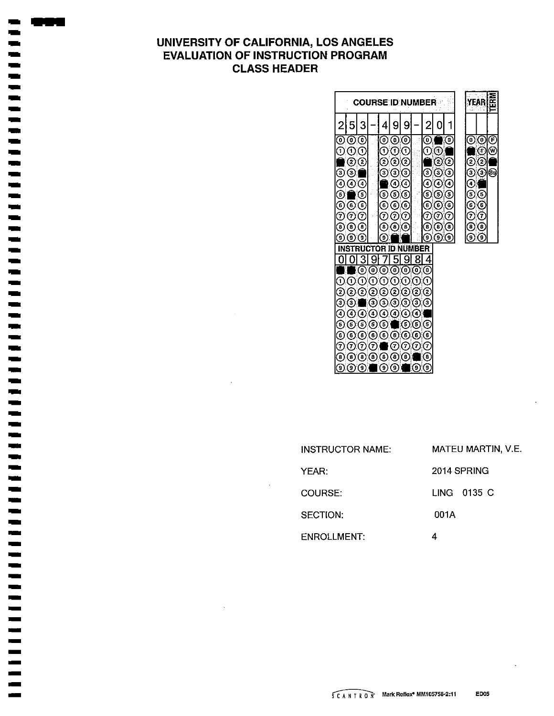# UNIVERSITY OF CALIFORNIA, LOS ANGELES **EVALUATION OF INSTRUCTION PROGRAM CLASS HEADER**

 $\blacksquare$  $\overline{\phantom{a}}$ 

|                   |                          |                               |         |                   |                                         |                   |                   | <b>COURSE ID NUMBER</b> |                 |   |                      | YEAR   | ិមិ    |
|-------------------|--------------------------|-------------------------------|---------|-------------------|-----------------------------------------|-------------------|-------------------|-------------------------|-----------------|---|----------------------|--------|--------|
|                   |                          | 3                             |         | 4                 | ç                                       | 9                 |                   | 2                       | 0               | 1 |                      |        |        |
| 0<br>1            | ω<br>Ο.                  | ◉<br>$\left( 1\right)$        |         | ◉<br>0            | ၜၜ<br>⊙                                 | C                 |                   | ٧<br>1                  | 69              | C | ⊙                    | ⊚<br>⊙ | ℗<br>⊛ |
|                   | 2                        | C                             |         | 2                 | (2) (2)                                 |                   |                   |                         | වල              |   | 2                    | ◎      |        |
| 3<br>4            | 3,<br>$\bf{(4)}$         | (4                            |         | Э                 | ගල<br>④G                                |                   |                   | 3)<br>4)                | $\odot$ G<br>⊚⊙ |   | ☉<br>€               | ⊙      | ☜      |
| 5<br>6            | ©€                       | C                             |         | O                 | ಄<br>$\mathbf{0} \mathbf{0} \mathbf{0}$ |                   |                   | ⑤<br>⊙                  | ΘC<br>$\odot$   |   | ⊙<br>⊙               | C<br>C |        |
| 7<br>(8)          | (7)<br>$\left( 6\right)$ | $\sigma$<br>$\left( 8\right)$ |         | 7<br>0            | の⑦<br>$\left(8\right)$                  | (8)               |                   | T<br>Θ,                 | ගල<br>(8)(8)    |   | ℗<br>$\odot$ $\odot$ | C      |        |
| 9                 | (၁)                      | 9)                            |         | 9                 |                                         |                   |                   | 9                       | $\odot$ $\odot$ |   | $\odot$ $\odot$      |        |        |
|                   |                          |                               |         | R I               |                                         | ाताः।             | в<br>8            | ΕR                      |                 |   |                      |        |        |
|                   |                          | O                             | (0)     | 0                 | O                                       | O                 | 0)                | 4<br>ⓒ                  |                 |   |                      |        |        |
| 1                 | ٦                        | 1                             |         | 1                 | 0                                       | 1                 | [1]               | $\mathcal{L}$           |                 |   |                      |        |        |
| 2                 | (2)                      | 2                             | 2       | 2.                | $^{2}$                                  | 2)                | $\Omega$ (2)      |                         |                 |   |                      |        |        |
| G                 | (3                       |                               | З,      | 3                 | 3,                                      | 3,                | (3) (3)           |                         |                 |   |                      |        |        |
| $\left( 4\right)$ | (4                       | $\overline{\mathbf{A}}$       | Ο,      | (4)               | 4.                                      | ζ4                | $\left( 4\right)$ |                         |                 |   |                      |        |        |
| 5                 | $\left(5\right)$         | (5)(5)                        |         | G                 |                                         | 0                 | ΘG                |                         |                 |   |                      |        |        |
| 6                 | (၀)                      |                               | (6) (6) | (၀)               | (6)                                     | $\left( 6\right)$ | ⊚⊚                |                         |                 |   |                      |        |        |
| 7                 | (7)                      | 7                             | (7      |                   | (7                                      | $\mathbf{7}$      | OC                |                         |                 |   |                      |        |        |
| 'n,               | (3)(8)                   |                               | $\circ$ | $\left( 0\right)$ | 0)                                      | (8)               |                   | ᠖                       |                 |   |                      |        |        |
| 0)                | $\epsilon$               | $\mathcal{L}(\mathbf{0})$     |         | $\odot$ o         |                                         |                   | $\odot$           |                         |                 |   |                      |        |        |

| INSTRUCTOR NAME: | MATEU MARTIN, V.E. |
|------------------|--------------------|
| YEAR:            | 2014 SPRING        |
| COURSE:          | IING 0135 C        |
| SECTION:         | 001A               |
| ENROLLMENT:      | 4                  |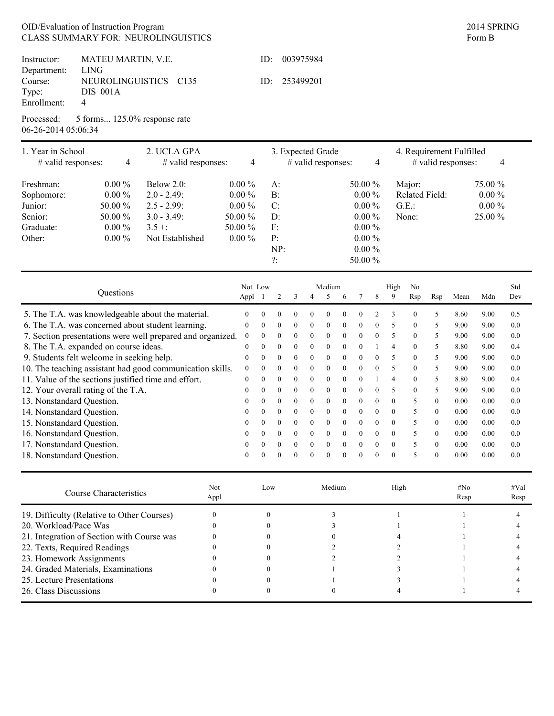## OID/Evaluation of Instruction Program CLASS SUMMARY FOR NEUROLINGUISTICS **Example 2018** Form B

|             | Instructor: MATEU MARTIN, V.E.          | ID: | 003975984     |  |
|-------------|-----------------------------------------|-----|---------------|--|
| Department: | <b>LING</b>                             |     |               |  |
|             | Course: NEUROLINGUISTICS C135           |     | ID: 253499201 |  |
| Type:       | DIS 001A                                |     |               |  |
| Enrollment: | 4                                       |     |               |  |
|             | Processed: 5 forms 125.0% response rate |     |               |  |

06-26-2014 05:06:34

17. Nonstandard Question.

| 1. Year in School<br># valid responses:              | 4         | 2. UCLA GPA<br># valid responses:                          | 4              |                |          | 3. Expected Grade<br># valid responses: |          |          |          |           | 4            |                          |                | 4. Requirement Fulfilled<br># valid responses: |      | 4        |     |  |
|------------------------------------------------------|-----------|------------------------------------------------------------|----------------|----------------|----------|-----------------------------------------|----------|----------|----------|-----------|--------------|--------------------------|----------------|------------------------------------------------|------|----------|-----|--|
| Freshman:                                            | $0.00\%$  | Below $2.0$ :                                              | $0.00\%$       |                | $A$ :    |                                         |          |          |          | 50.00 %   |              |                          | Major:         |                                                |      | 75.00 %  |     |  |
| Sophomore:                                           | $0.00\%$  | $2.0 - 2.49$ :                                             | $0.00\%$       |                | B:       |                                         |          |          |          | $0.00\%$  |              |                          |                | Related Field:                                 |      | $0.00\%$ |     |  |
| Junior:                                              | 50.00 %   | $2.5 - 2.99$ :                                             | $0.00\%$       |                | C:       |                                         |          |          |          | $0.00 \%$ |              |                          | $G.E.$ :       |                                                |      | $0.00\%$ |     |  |
| Senior:                                              | 50.00 %   | $3.0 - 3.49$ :                                             | 50.00 %        |                | D:       |                                         |          |          |          | $0.00 \%$ |              |                          | None:          |                                                |      | 25.00 %  |     |  |
| Graduate:                                            | $0.00\%$  | $3.5 +$ :                                                  | 50.00 %        |                | F:       |                                         |          |          |          | $0.00\%$  |              |                          |                |                                                |      |          |     |  |
| Other:                                               | $0.00\%$  | Not Established                                            | $0.00\%$       |                | P:       |                                         |          |          |          | $0.00 \%$ |              |                          |                |                                                |      |          |     |  |
|                                                      |           |                                                            |                |                | NP:      |                                         |          |          |          | $0.00\%$  |              |                          |                |                                                |      |          |     |  |
|                                                      |           |                                                            |                |                | $?$ :    |                                         |          |          |          | 50.00 %   |              |                          |                |                                                |      |          |     |  |
|                                                      |           |                                                            |                |                |          |                                         |          |          |          |           |              |                          |                |                                                |      |          |     |  |
|                                                      |           |                                                            |                | Not Low        |          |                                         |          | Medium   |          |           |              | High                     | N <sub>0</sub> |                                                |      |          | Std |  |
|                                                      | Questions |                                                            | Appl           |                | 2        |                                         |          | 5        | 6        |           | 8            | 9                        | Rsp            | Rsp                                            | Mean | Mdn      | Dev |  |
|                                                      |           | 5. The T.A. was knowledgeable about the material.          | $\overline{0}$ | $\Omega$       |          |                                         |          |          |          |           |              | 3                        | $\mathbf{0}$   | 5                                              | 8.60 | 9.00     | 0.5 |  |
| 6. The T.A. was concerned about student learning.    |           |                                                            | $\theta$       | $\overline{0}$ | $\theta$ |                                         | $\theta$ |          | $\Omega$ | $\Omega$  | $\theta$     | 5                        | $\mathbf{0}$   | 5                                              | 9.00 | 9.00     | 0.0 |  |
|                                                      |           | 7. Section presentations were well prepared and organized. | $\overline{0}$ | $\Omega$       | $\Omega$ | $\Omega$                                | $\Omega$ | $\Omega$ | $\Omega$ | $\Omega$  | $\theta$     | 5                        | $\theta$       | -5                                             | 9.00 | 9.00     | 0.0 |  |
| 8. The T.A. expanded on course ideas.                |           |                                                            | $\overline{0}$ | $\theta$       | $\Omega$ | $\Omega$                                | $\theta$ | $\Omega$ | $\Omega$ | $\theta$  |              | $\overline{4}$           | $\mathbf{0}$   | -5                                             | 8.80 | 9.00     | 0.4 |  |
| 9. Students felt welcome in seeking help.            |           |                                                            | $\mathbf{0}$   | $\Omega$       | $\Omega$ | $\Omega$                                | $\theta$ | $\theta$ | $\Omega$ | $\Omega$  | $\theta$     | $\overline{\phantom{0}}$ | $\mathbf{0}$   | .5                                             | 9.00 | 9.00     | 0.0 |  |
|                                                      |           | 10. The teaching assistant had good communication skills.  | $\overline{0}$ | $\Omega$       | $\Omega$ | $\Omega$                                | $\theta$ | $\theta$ | $\theta$ | $\Omega$  | $\theta$     | 5                        | $\theta$       | -5                                             | 9.00 | 9.00     | 0.0 |  |
| 11. Value of the sections justified time and effort. |           |                                                            | $\overline{0}$ | $\overline{0}$ | $\Omega$ |                                         | $\theta$ |          | $\Omega$ | $\theta$  |              | $\overline{4}$           | $\mathbf{0}$   | -5                                             | 8.80 | 9.00     | 0.4 |  |
| 12. Your overall rating of the T.A.                  |           |                                                            | $\Omega$       | $\overline{0}$ | $\Omega$ | $\Omega$                                | $\Omega$ | $\theta$ | $\Omega$ | $\theta$  | $\theta$     | 5                        | $\mathbf{0}$   | 5                                              | 9.00 | 9.00     | 0.0 |  |
| 13. Nonstandard Question.                            |           |                                                            | $\Omega$       | $\overline{0}$ | $\theta$ | $\theta$                                | $\theta$ | $\theta$ | $\theta$ | $\theta$  | $\theta$     | $\mathbf{0}$             | 5              | $\overline{0}$                                 | 0.00 | 0.00     | 0.0 |  |
| 14. Nonstandard Question.                            |           |                                                            | $\Omega$       | 0              | $\Omega$ |                                         | $\Omega$ | $\Omega$ | $\Omega$ | $\Omega$  | $\theta$     | $\theta$                 | 5              | $\Omega$                                       | 0.00 | 0.00     | 0.0 |  |
| 15. Nonstandard Question.                            |           |                                                            | 0              |                |          |                                         | $\Omega$ |          | $\Omega$ | $\theta$  | $\mathbf{0}$ | $\mathbf{0}$             | 5              | $\Omega$                                       | 0.00 | 0.00     | 0.0 |  |
| 16. Nonstandard Question.                            |           |                                                            | $\theta$       |                |          |                                         | $\theta$ |          | $\Omega$ |           | $\Omega$     |                          | 5              | $\theta$                                       | 0.00 | 0.00     | 0.0 |  |

| 18. Nonstandard Question.                  |             | $\theta$ |          |  |        | $\Omega$ | $\Omega$ | $\theta$ |      | 5 | $\theta$ | 0.00           | 0.00 | 0.0          |
|--------------------------------------------|-------------|----------|----------|--|--------|----------|----------|----------|------|---|----------|----------------|------|--------------|
| Course Characteristics                     | Not<br>Appl |          | Low      |  | Medium |          |          |          | High |   |          | $\#No$<br>Resp |      | #Val<br>Resp |
| 19. Difficulty (Relative to Other Courses) |             |          |          |  |        |          |          |          |      |   |          |                |      |              |
| 20. Workload/Pace Was                      |             |          | $\Omega$ |  |        |          |          |          |      |   |          |                |      |              |
| 21. Integration of Section with Course was |             |          |          |  |        |          |          |          |      |   |          |                |      |              |
| 22. Texts, Required Readings               |             |          | $^{(1)}$ |  |        |          |          |          |      |   |          |                |      |              |
| 23. Homework Assignments                   |             |          |          |  |        |          |          |          |      |   |          |                |      |              |
| 24. Graded Materials, Examinations         |             |          |          |  |        |          |          |          |      |   |          |                |      |              |
| 25. Lecture Presentations                  |             |          | 0        |  |        |          |          |          |      |   |          |                |      |              |
| 26. Class Discussions                      |             |          |          |  |        |          |          |          |      |   |          |                |      |              |

0 0 0 0 0

 $0\qquad 0\qquad 0$ 

0 0 0 0 0 0 5 0

0 5 0 0.00 0.00 0.0

0.0 0.0

0.00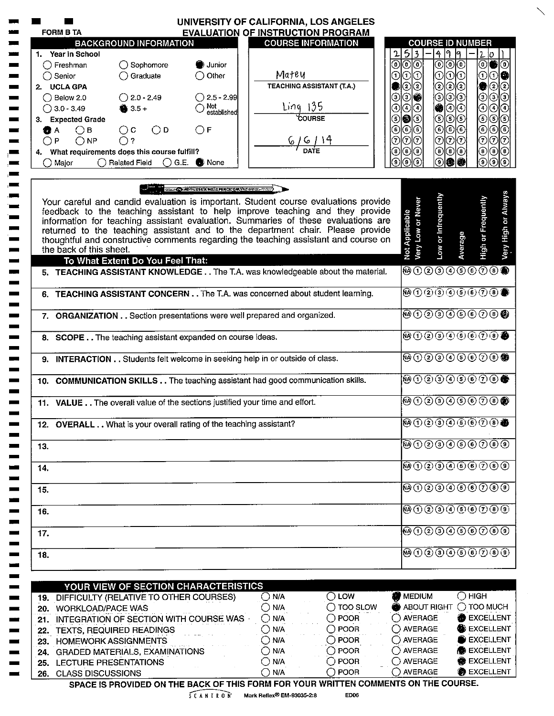| <b>EVALUATION OF INSTRUCTION PROGRAM</b><br><b>COURSE INFORMATION</b><br><b>BACKGROUND INFORMATION</b><br>1. Year in School<br>$\bigcirc$ Sophomore<br>$\bigcap$ Freshman<br>) Junior<br>Matey<br>$\bigcirc$ Graduate<br>$\bigcirc$ Other<br><b>TEACHING ASSISTANT (T.A.)</b><br>2. UCLA GPA<br>$\bigcirc$ 2.0 - 2.49<br>$\bigcirc$ 2.5 - 2.99<br>Ling 135<br>Not<br>established<br>$3.5 +$<br>COURSE<br>3. Expected Grade<br>$\bigcirc$ D<br>$\bigcirc$ c<br>$\bigcirc$ F<br>$\bigcirc$ в<br>$\bigcirc$ NP<br>6/6/14<br>$\bigcap$ ?<br>4. What requirements does this course fulfill? | <b>COURSE ID NUMBER</b><br>$5\overline{\smash{\big)}\,}$<br>4 9<br>$\mathbf{r}$<br>19<br>2 0 <br><u>මල</u><br>⊚∣⊙∣⊙<br>$\circledcirc$<br>⊙<br>$\overline{\textcircled{\scriptsize{0}}}$<br>00<br>⊙<br>⊚<br>01010<br>಄ ② ②<br>② ②<br>ම(ව<br>000000<br>಄಄಄<br>ெ<br>00<br>3<br>$\odot$<br>಄<br>$\circledcirc$<br>❀<br>◉<br>⊙<br>$\left( 4\right)$<br>(6 6 6 1<br>⊚ ⊚<br>66<br>(5)<br>$\odot$<br>⊙∣⊙<br>⊚ ⊙<br>(6) |
|----------------------------------------------------------------------------------------------------------------------------------------------------------------------------------------------------------------------------------------------------------------------------------------------------------------------------------------------------------------------------------------------------------------------------------------------------------------------------------------------------------------------------------------------------------------------------------------|----------------------------------------------------------------------------------------------------------------------------------------------------------------------------------------------------------------------------------------------------------------------------------------------------------------------------------------------------------------------------------------------------------------|
|                                                                                                                                                                                                                                                                                                                                                                                                                                                                                                                                                                                        |                                                                                                                                                                                                                                                                                                                                                                                                                |
|                                                                                                                                                                                                                                                                                                                                                                                                                                                                                                                                                                                        |                                                                                                                                                                                                                                                                                                                                                                                                                |
|                                                                                                                                                                                                                                                                                                                                                                                                                                                                                                                                                                                        |                                                                                                                                                                                                                                                                                                                                                                                                                |
|                                                                                                                                                                                                                                                                                                                                                                                                                                                                                                                                                                                        |                                                                                                                                                                                                                                                                                                                                                                                                                |
|                                                                                                                                                                                                                                                                                                                                                                                                                                                                                                                                                                                        |                                                                                                                                                                                                                                                                                                                                                                                                                |
|                                                                                                                                                                                                                                                                                                                                                                                                                                                                                                                                                                                        |                                                                                                                                                                                                                                                                                                                                                                                                                |
|                                                                                                                                                                                                                                                                                                                                                                                                                                                                                                                                                                                        |                                                                                                                                                                                                                                                                                                                                                                                                                |
|                                                                                                                                                                                                                                                                                                                                                                                                                                                                                                                                                                                        |                                                                                                                                                                                                                                                                                                                                                                                                                |
|                                                                                                                                                                                                                                                                                                                                                                                                                                                                                                                                                                                        |                                                                                                                                                                                                                                                                                                                                                                                                                |
|                                                                                                                                                                                                                                                                                                                                                                                                                                                                                                                                                                                        | <u>ଚାତାତା</u><br>⊙∣ල<br>$\widehat{G}$                                                                                                                                                                                                                                                                                                                                                                          |
|                                                                                                                                                                                                                                                                                                                                                                                                                                                                                                                                                                                        | $\circledast$<br>® ®<br>(® டு<br>$^\circledR$<br>$\left( \mathbf{8}\right)$<br>ίB)                                                                                                                                                                                                                                                                                                                             |
| ◯ Related Field<br>$\bigcirc$ G.E. $\bigcirc$ None                                                                                                                                                                                                                                                                                                                                                                                                                                                                                                                                     | $\circledcirc$<br>ெ<br>டு<br>ົງ<br>΄9.<br>ിൈ                                                                                                                                                                                                                                                                                                                                                                   |
| <b>STANS CONTRACTS EX NOTE PERCIPION VALUE AND THE STANDARD OF A STATE OF A STATE OF A STATE OF A STATE OF A STATE</b><br>Your careful and candid evaluation is important. Student course evaluations provide<br>feedback to the teaching assistant to help improve teaching and they provide<br>information for teaching assistant evaluation. Summaries of these evaluations are<br>returned to the teaching assistant and to the department chair. Please provide<br>thoughtful and constructive comments regarding the teaching assistant and course on<br>the back of this sheet. | Low or Infrequently<br>High or Frequently<br>Very Low or Never<br>Not Applicable<br>Average                                                                                                                                                                                                                                                                                                                    |
| To What Extent Do You Feel That:                                                                                                                                                                                                                                                                                                                                                                                                                                                                                                                                                       |                                                                                                                                                                                                                                                                                                                                                                                                                |
| 5. TEACHING ASSISTANT KNOWLEDGE The T.A. was knowledgeable about the material.                                                                                                                                                                                                                                                                                                                                                                                                                                                                                                         | @00000000@                                                                                                                                                                                                                                                                                                                                                                                                     |
| 6. TEACHING ASSISTANT CONCERN The T.A. was concerned about student learning.                                                                                                                                                                                                                                                                                                                                                                                                                                                                                                           | <b>@①②③④⑤⑥⑦⑧●</b>                                                                                                                                                                                                                                                                                                                                                                                              |
| 7. ORGANIZATION Section presentations were well prepared and organized.                                                                                                                                                                                                                                                                                                                                                                                                                                                                                                                | <b>@00000000@</b>                                                                                                                                                                                                                                                                                                                                                                                              |
| 8. SCOPE The teaching assistant expanded on course ideas.                                                                                                                                                                                                                                                                                                                                                                                                                                                                                                                              | <b>®⊙©⊙⊙©©⊙®●</b>                                                                                                                                                                                                                                                                                                                                                                                              |
| 9. INTERACTION Students felt welcome in seeking help in or outside of class.                                                                                                                                                                                                                                                                                                                                                                                                                                                                                                           | <b>@0000000®</b>                                                                                                                                                                                                                                                                                                                                                                                               |
| 10. COMMUNICATION SKILLS The teaching assistant had good communication skills.                                                                                                                                                                                                                                                                                                                                                                                                                                                                                                         | <b>@00000000@</b>                                                                                                                                                                                                                                                                                                                                                                                              |
| 11. VALUE The overall value of the sections justified your time and effort.                                                                                                                                                                                                                                                                                                                                                                                                                                                                                                            | @00000000@                                                                                                                                                                                                                                                                                                                                                                                                     |
| 12. OVERALL What is your overall rating of the teaching assistant?                                                                                                                                                                                                                                                                                                                                                                                                                                                                                                                     | $\blacksquare$ $\lhd$ $\lhd$ $\lhd$ $\lhd$ $\lhd$ $\lhd$ $\lhd$ $\lhd$ $\lhd$                                                                                                                                                                                                                                                                                                                                  |
|                                                                                                                                                                                                                                                                                                                                                                                                                                                                                                                                                                                        | $\overline{\mathfrak{B}}\oplus\mathfrak{O}$ 2 3 4 6 6 7 8 9                                                                                                                                                                                                                                                                                                                                                    |
|                                                                                                                                                                                                                                                                                                                                                                                                                                                                                                                                                                                        | <b>@OQ@@@@O@</b>                                                                                                                                                                                                                                                                                                                                                                                               |
|                                                                                                                                                                                                                                                                                                                                                                                                                                                                                                                                                                                        | ®000000000                                                                                                                                                                                                                                                                                                                                                                                                     |
|                                                                                                                                                                                                                                                                                                                                                                                                                                                                                                                                                                                        | <b>@O②③④⑤⑥⑦⑧⑨</b>                                                                                                                                                                                                                                                                                                                                                                                              |
|                                                                                                                                                                                                                                                                                                                                                                                                                                                                                                                                                                                        | @000066000                                                                                                                                                                                                                                                                                                                                                                                                     |
|                                                                                                                                                                                                                                                                                                                                                                                                                                                                                                                                                                                        | <b>⑭①②③④⑤⑥⑦⑧⑨</b>                                                                                                                                                                                                                                                                                                                                                                                              |
|                                                                                                                                                                                                                                                                                                                                                                                                                                                                                                                                                                                        |                                                                                                                                                                                                                                                                                                                                                                                                                |
|                                                                                                                                                                                                                                                                                                                                                                                                                                                                                                                                                                                        | <b>WEDIUM</b><br>$\bigcirc$ High                                                                                                                                                                                                                                                                                                                                                                               |
|                                                                                                                                                                                                                                                                                                                                                                                                                                                                                                                                                                                        | $\bigcirc$ TOO MUCH<br>ABOUT RIGHT                                                                                                                                                                                                                                                                                                                                                                             |
| $\bigcirc$ LOW<br>$\bigcirc$ N/A<br>19. DIFFICULTY (RELATIVE TO OTHER COURSES)                                                                                                                                                                                                                                                                                                                                                                                                                                                                                                         |                                                                                                                                                                                                                                                                                                                                                                                                                |
| $\bigcirc$ TOO SLOW<br>$\bigcirc$ N/A<br>20. WORKLOAD/PACE WAS                                                                                                                                                                                                                                                                                                                                                                                                                                                                                                                         |                                                                                                                                                                                                                                                                                                                                                                                                                |
| $\bigcirc$ POOR<br>$\bigcirc$ N/A<br>21. INTEGRATION OF SECTION WITH COURSE WAS                                                                                                                                                                                                                                                                                                                                                                                                                                                                                                        | <b>EXCELLENT</b><br>$\bigcirc$ AVERAGE<br>EXCELLENT                                                                                                                                                                                                                                                                                                                                                            |
| $\bigcirc$ POOR<br>$\bigcirc$ N/A<br>22. TEXTS, REQUIRED READINGS<br>$\bigcirc$ POOR                                                                                                                                                                                                                                                                                                                                                                                                                                                                                                   | $\bigcirc$ AVERAGE<br><b>EXCELLENT</b><br>◯ AVERAGE                                                                                                                                                                                                                                                                                                                                                            |
| $\bigcirc$ N/A<br>23. HOMEWORK ASSIGNMENTS<br>$\bigcirc$ POOR<br>$\bigcirc$ N/A                                                                                                                                                                                                                                                                                                                                                                                                                                                                                                        | <b>B</b> EXCELLENT<br>$\bigcirc$ AVERAGE                                                                                                                                                                                                                                                                                                                                                                       |
| 24. GRADED MATERIALS, EXAMINATIONS<br>$\bigcirc$ poor<br>$\bigcirc$ N/A<br>25. LECTURE PRESENTATIONS                                                                                                                                                                                                                                                                                                                                                                                                                                                                                   | ◯ AVERAGE<br><b>@</b> EXCELLENT                                                                                                                                                                                                                                                                                                                                                                                |
|                                                                                                                                                                                                                                                                                                                                                                                                                                                                                                                                                                                        | YOUR VIEW OF SECTION CHARACTERISTICS                                                                                                                                                                                                                                                                                                                                                                           |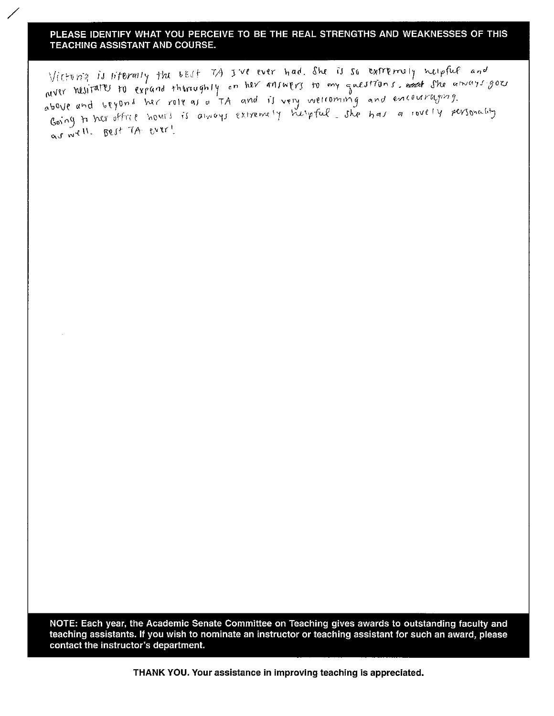Victoria is niterally the best 7A Jive ever had. She is so extremely neipful and will nesitates to expand thiroughly on her answers to my questions. and she amoss goes above and beyond her role as a TA and is very welcoming and encouraging. Going to her office hours is always extremely helpful. She has a lovely personality as well. Best TA ever!

NOTE: Each year, the Academic Senate Committee on Teaching gives awards to outstanding faculty and teaching assistants. If you wish to nominate an instructor or teaching assistant for such an award, please contact the instructor's department.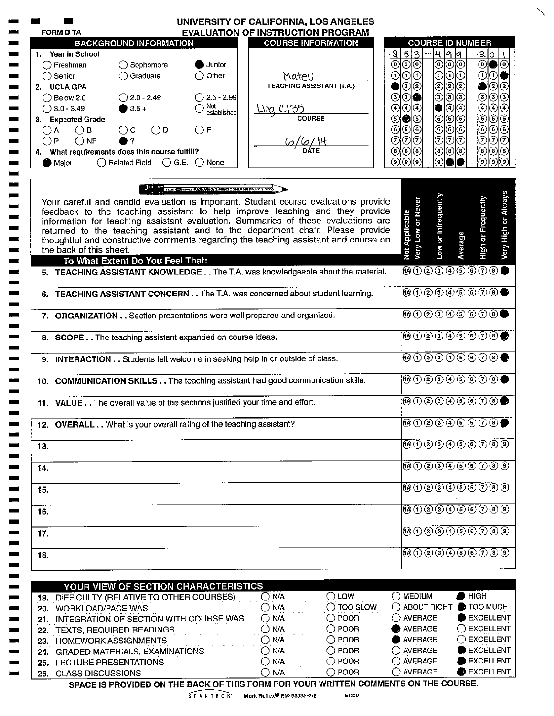|       | UNIVERSITY OF CALIFORNIA, LOS ANGELES                                                                                                                                                                                                                                                                                                                                                                                                                                                                                   |                                                                                                                                                                                                                                                                                                                                                     |
|-------|-------------------------------------------------------------------------------------------------------------------------------------------------------------------------------------------------------------------------------------------------------------------------------------------------------------------------------------------------------------------------------------------------------------------------------------------------------------------------------------------------------------------------|-----------------------------------------------------------------------------------------------------------------------------------------------------------------------------------------------------------------------------------------------------------------------------------------------------------------------------------------------------|
|       | <b>FORM B TA</b><br><b>EVALUATION OF INSTRUCTION PROGRAM</b>                                                                                                                                                                                                                                                                                                                                                                                                                                                            |                                                                                                                                                                                                                                                                                                                                                     |
|       | <b>COURSE INFORMATION</b><br><b>BACKGROUND INFORMATION</b>                                                                                                                                                                                                                                                                                                                                                                                                                                                              | <b>COURSE ID NUMBER</b>                                                                                                                                                                                                                                                                                                                             |
|       | 1. Year in School                                                                                                                                                                                                                                                                                                                                                                                                                                                                                                       | $\frac{2}{5}$<br>19 19<br>4<br>alo                                                                                                                                                                                                                                                                                                                  |
|       | $\bigcirc$ Sophomore<br>Junior<br>$\bigcap$ Freshman                                                                                                                                                                                                                                                                                                                                                                                                                                                                    | මුල<br>© ⊙ ⊙ <br>ଭା<br>◉                                                                                                                                                                                                                                                                                                                            |
|       | $\bigcirc$ Graduate<br>Other<br>Materi<br>$\bigcirc$ Senior<br><b>TEACHING ASSISTANT (T.A.)</b>                                                                                                                                                                                                                                                                                                                                                                                                                         | © © ©<br>010<br>၈<br>⊙                                                                                                                                                                                                                                                                                                                              |
|       | 2. UCLA GPA                                                                                                                                                                                                                                                                                                                                                                                                                                                                                                             | ଡାହାତ<br>$\mathbf{2}$<br>Ͽ∣ઉ                                                                                                                                                                                                                                                                                                                        |
|       | $\bigcirc$ 2.0 - 2.49<br>$\bigcirc$ 2.5 - 2.99<br>$\bigcirc$ Below 2.0                                                                                                                                                                                                                                                                                                                                                                                                                                                  | ⊙∣<br>᠖<br>಄<br>⊙<br>ଠାଈ                                                                                                                                                                                                                                                                                                                            |
|       | Not<br>established<br>$• 3.5 +$<br>$\bigcirc$ 3.0 - 3.49<br><u> Ung Cl35</u>                                                                                                                                                                                                                                                                                                                                                                                                                                            | ⊙<br>⊕<br>⊕<br>⊙∣⊙<br>ூ⊙                                                                                                                                                                                                                                                                                                                            |
|       | <b>COURSE</b><br>3. Expected Grade                                                                                                                                                                                                                                                                                                                                                                                                                                                                                      | (6) (6) (6)<br>$\circledast$<br>$\circledcirc$<br>$\circledast$<br>●િ                                                                                                                                                                                                                                                                               |
| ( ) A | $\bigcirc$ D<br>$\bigcirc$ F<br>$\bigcirc$ B<br>$\bigcirc$ c                                                                                                                                                                                                                                                                                                                                                                                                                                                            | ⊙∣⊙∣⊙<br>$\circledast$<br>◉<br>⊚<br>ම⊚<br>ାଠା⊙                                                                                                                                                                                                                                                                                                      |
| ◯₽    | ( <i>0/6/\4</i><br>DATE<br>$\bigcirc$ NP                                                                                                                                                                                                                                                                                                                                                                                                                                                                                | ⊙∣⊙<br>⊙<br>ාල<br>◉<br>$\circledast$<br>θ)<br>(a)                                                                                                                                                                                                                                                                                                   |
|       | 4. What requirements does this course fulfill?<br>$\bigcirc$ G.E. $\bigcirc$ None<br>◯ Related Field                                                                                                                                                                                                                                                                                                                                                                                                                    | $^\circledR$<br>◉<br>$\left( 3\right)$<br>Э.<br>์9)<br>[9]<br>΄9΄                                                                                                                                                                                                                                                                                   |
|       | Major                                                                                                                                                                                                                                                                                                                                                                                                                                                                                                                   |                                                                                                                                                                                                                                                                                                                                                     |
|       | <b>SSEE CONVERTISE A NO. 2 PENCIUONLY MATER ACCEPTO</b><br>Your careful and candid evaluation is important. Student course evaluations provide<br>feedback to the teaching assistant to help improve teaching and they provide<br>information for teaching assistant evaluation. Summaries of these evaluations are<br>returned to the teaching assistant and to the department chair. Please provide<br>thoughtful and constructive comments regarding the teaching assistant and course on<br>the back of this sheet. | Low or Infrequently<br>High or Frequently<br><b>Very Low or Never</b><br>Not Applicable<br>Average                                                                                                                                                                                                                                                  |
|       | To What Extent Do You Feel That:<br>5. TEACHING ASSISTANT KNOWLEDGE The T.A. was knowledgeable about the material.                                                                                                                                                                                                                                                                                                                                                                                                      | <b>֎</b> ①②③④⑤©⑦®●                                                                                                                                                                                                                                                                                                                                  |
|       |                                                                                                                                                                                                                                                                                                                                                                                                                                                                                                                         |                                                                                                                                                                                                                                                                                                                                                     |
|       | 6. TEACHING ASSISTANT CONCERN The T.A. was concerned about student learning.                                                                                                                                                                                                                                                                                                                                                                                                                                            | $\begin{picture}(45,4) \put(0,0){\line(1,0){10}} \put(0,0){\line(1,0){10}} \put(10,0){\line(1,0){10}} \put(10,0){\line(1,0){10}} \put(10,0){\line(1,0){10}} \put(10,0){\line(1,0){10}} \put(10,0){\line(1,0){10}} \put(10,0){\line(1,0){10}} \put(10,0){\line(1,0){10}} \put(10,0){\line(1,0){10}} \put(10,0){\line(1,0){10}} \put(10,0){\line(1,0$ |
|       | 7. ORGANIZATION Section presentations were well prepared and organized.                                                                                                                                                                                                                                                                                                                                                                                                                                                 | $\textcircled{\tiny{0}}$ 000000 $\textcircled{\tiny{0}}$                                                                                                                                                                                                                                                                                            |
|       | 8. SCOPE The teaching assistant expanded on course ideas.                                                                                                                                                                                                                                                                                                                                                                                                                                                               | $\begin{picture}(45,10) \put(0,0){\line(1,0){10}} \put(10,0){\line(1,0){10}} \put(10,0){\line(1,0){10}} \put(10,0){\line(1,0){10}} \put(10,0){\line(1,0){10}} \put(10,0){\line(1,0){10}} \put(10,0){\line(1,0){10}} \put(10,0){\line(1,0){10}} \put(10,0){\line(1,0){10}} \put(10,0){\line(1,0){10}} \put(10,0){\line(1,0){10}} \put(10,0){\line(1$ |
|       | 9. INTERACTION Students felt welcome in seeking help in or outside of class.                                                                                                                                                                                                                                                                                                                                                                                                                                            | <b>֎</b> ①②③④⑤⑥⑦®●                                                                                                                                                                                                                                                                                                                                  |
|       | 10. COMMUNICATION SKILLS The teaching assistant had good communication skills.                                                                                                                                                                                                                                                                                                                                                                                                                                          | <b>@00000000</b>                                                                                                                                                                                                                                                                                                                                    |
|       | 11. VALUE The overall value of the sections justified your time and effort.                                                                                                                                                                                                                                                                                                                                                                                                                                             | $\textcircled{\tiny{0}}\textcircled{\tiny{2}}\textcircled{\tiny{3}}\textcircled{\tiny{4}}\textcircled{\tiny{5}}\textcircled{\tiny{0}}\textcircled{\tiny{0}}$                                                                                                                                                                                        |
|       | 12. OVERALL What is your overall rating of the teaching assistant?                                                                                                                                                                                                                                                                                                                                                                                                                                                      | $\begin{array}{ c c c }\hline \mathbf{0}\oplus\mathbf{0}\oplus\mathbf{0}\oplus\mathbf{0}\oplus\mathbf{0}\end{array}$                                                                                                                                                                                                                                |
| 13.   |                                                                                                                                                                                                                                                                                                                                                                                                                                                                                                                         | $\overline{\mathbf{\Theta} \oplus \mathbf{\Theta} \oplus \mathbf{\Theta} \oplus \mathbf{\Theta} \oplus \mathbf{\Theta}}$                                                                                                                                                                                                                            |
| 14.   |                                                                                                                                                                                                                                                                                                                                                                                                                                                                                                                         | <b>@①②③④⑤⑥⑦⑧⑨</b>                                                                                                                                                                                                                                                                                                                                   |
| 15.   |                                                                                                                                                                                                                                                                                                                                                                                                                                                                                                                         | @0@0@0@0@0@                                                                                                                                                                                                                                                                                                                                         |
| 16.   |                                                                                                                                                                                                                                                                                                                                                                                                                                                                                                                         | $\overline{(\mathbf{0})}$ $\overline{(1)}$ $\overline{(2)}$ $\overline{(3)}$ $\overline{(4)}$ $\overline{(5)}$ $\overline{(6)}$ $\overline{(7)}$ $\overline{(8)}$ $\overline{(9)}$                                                                                                                                                                  |
| 17.   |                                                                                                                                                                                                                                                                                                                                                                                                                                                                                                                         | 0.000000000000                                                                                                                                                                                                                                                                                                                                      |
| 18.   |                                                                                                                                                                                                                                                                                                                                                                                                                                                                                                                         | BO20000000                                                                                                                                                                                                                                                                                                                                          |
|       | YOUR VIEW OF SECTION CHARACTERISTICS                                                                                                                                                                                                                                                                                                                                                                                                                                                                                    |                                                                                                                                                                                                                                                                                                                                                     |
|       | $\bigcirc$ LOW<br>$\bigcirc$ N/A<br>19. DIFFICULTY (RELATIVE TO OTHER COURSES)                                                                                                                                                                                                                                                                                                                                                                                                                                          | <b>HIGH</b><br>$\bigcirc$ medium                                                                                                                                                                                                                                                                                                                    |
|       | $\bigcirc$ N/A<br>$\bigcirc$ TOO SLOW<br>20. WORKLOAD/PACE WAS                                                                                                                                                                                                                                                                                                                                                                                                                                                          | ◯ ABOUT RIGHT ● TOO MUCH                                                                                                                                                                                                                                                                                                                            |
|       | $\bigcirc$ POOR<br>$\bigcirc$ N/A<br>21. INTEGRATION OF SECTION WITH COURSE WAS                                                                                                                                                                                                                                                                                                                                                                                                                                         | $\bigcirc$ AVERAGE<br>EXCELLENT                                                                                                                                                                                                                                                                                                                     |
|       | $\bigcirc$ POOR<br>$\bigcirc$ N/A<br>22. TEXTS, REQUIRED READINGS                                                                                                                                                                                                                                                                                                                                                                                                                                                       | $\bigcap$ EXCELLENT<br>AVERAGE                                                                                                                                                                                                                                                                                                                      |
|       | $\bigcirc$ POOR<br>$\bigcirc$ N/A<br>23. HOMEWORK ASSIGNMENTS                                                                                                                                                                                                                                                                                                                                                                                                                                                           | $\bigcirc$ excellent<br><b>NERAGE</b>                                                                                                                                                                                                                                                                                                               |
|       | $\bigcirc$ POOR<br>$\bigcirc$ N/A<br>24. GRADED MATERIALS, EXAMINATIONS                                                                                                                                                                                                                                                                                                                                                                                                                                                 | <b>EXCELLENT</b><br>$\bigcirc$ AVERAGE                                                                                                                                                                                                                                                                                                              |
|       | $\bigcirc$ N/A<br>$\bigcirc$ POOR<br>25. LECTURE PRESENTATIONS                                                                                                                                                                                                                                                                                                                                                                                                                                                          | $\bigcirc$ AVERAGE<br>EXCELLENT                                                                                                                                                                                                                                                                                                                     |
|       | $\bigcirc$ POOR<br>$\bigcirc$ n/a<br>26. CLASS DISCUSSIONS                                                                                                                                                                                                                                                                                                                                                                                                                                                              | $\bigcap$ AVERAGE<br><b>B</b> EXCELLENT                                                                                                                                                                                                                                                                                                             |
|       | SPACE IS PROVIDED ON THE BACK OF THIS FORM FOR YOUR WRITTEN COMMENTS ON THE COURSE.                                                                                                                                                                                                                                                                                                                                                                                                                                     |                                                                                                                                                                                                                                                                                                                                                     |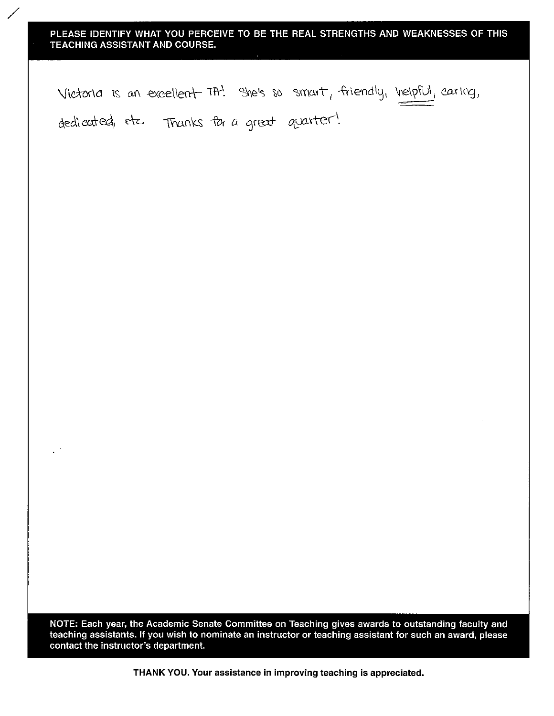Victoria is an excellent TA! She's so smart, friendly, helpful, caring, dedicated, etc. Thanks for a great quarter!

NOTE: Each year, the Academic Senate Committee on Teaching gives awards to outstanding faculty and teaching assistants. If you wish to nominate an instructor or teaching assistant for such an award, please contact the instructor's department.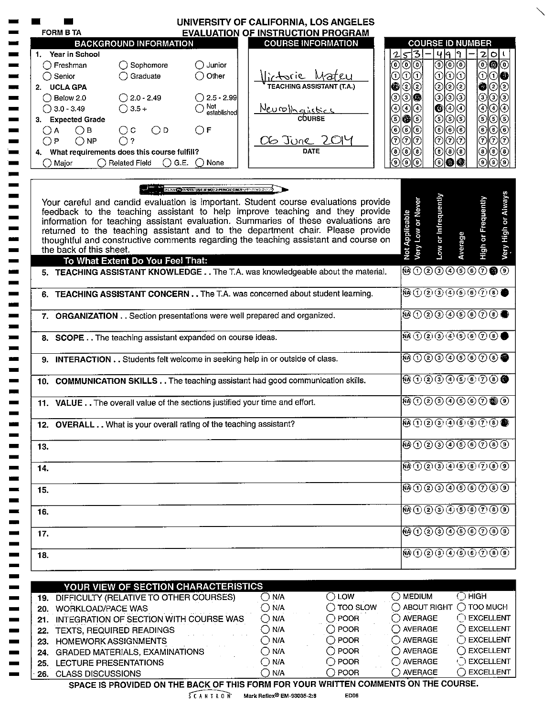| <b>FORM B TA</b>      |                         |                                                | <b>EVALUATION OF INSTRUCTION PROGRAM</b>                           |                                                                                                                                                                     |                                    |                                 |                                                                                                                                                                                                                                                                                                                                                     |                  |                                                                                                                                                            |
|-----------------------|-------------------------|------------------------------------------------|--------------------------------------------------------------------|---------------------------------------------------------------------------------------------------------------------------------------------------------------------|------------------------------------|---------------------------------|-----------------------------------------------------------------------------------------------------------------------------------------------------------------------------------------------------------------------------------------------------------------------------------------------------------------------------------------------------|------------------|------------------------------------------------------------------------------------------------------------------------------------------------------------|
|                       |                         | <b>BACKGROUND INFORMATION</b>                  |                                                                    | <b>COURSE INFORMATION</b>                                                                                                                                           |                                    |                                 | <b>COURSE ID NUMBER</b>                                                                                                                                                                                                                                                                                                                             |                  |                                                                                                                                                            |
| 1. Year in School     |                         |                                                |                                                                    |                                                                                                                                                                     |                                    | 5 3<br>$\mathbf{r}$             |                                                                                                                                                                                                                                                                                                                                                     | 499              | 2 0 1                                                                                                                                                      |
| ( ) Freshman          |                         | $\bigcirc$ Sophomore                           | $\bigcirc$ Junior                                                  |                                                                                                                                                                     |                                    | ⊙∣⊙<br>⊙                        |                                                                                                                                                                                                                                                                                                                                                     |                  | $\circledcirc$                                                                                                                                             |
| $\bigcirc$ Senior     |                         | ◯ Graduate                                     | $\bigcirc$ Other                                                   |                                                                                                                                                                     |                                    | രിര<br>⊙                        | 0 0                                                                                                                                                                                                                                                                                                                                                 | $_{\odot}$       | $ \odot $<br>00                                                                                                                                            |
| 2. UCLA GPA           |                         |                                                |                                                                    | Victorie Mateu                                                                                                                                                      |                                    | ②②<br>◉                         |                                                                                                                                                                                                                                                                                                                                                     | © © ©            | ಄಄<br>Ô                                                                                                                                                    |
| $\bigcirc$ Below 2.0  |                         | $\bigcirc$ 2.0 - 2.49                          | $\bigcirc$ 2.5 - 2.99                                              |                                                                                                                                                                     |                                    | <u>ා@</u><br>③                  |                                                                                                                                                                                                                                                                                                                                                     | ා(ාල)            | $\circledcirc$<br>಄                                                                                                                                        |
| $\bigcirc$ 3.0 - 3.49 |                         | $\bigcirc$ 3.5 +                               | $\bigcirc$ Not<br>established                                      |                                                                                                                                                                     |                                    | ⊙∣⊙<br>④                        |                                                                                                                                                                                                                                                                                                                                                     | ◙ ④ ④            | $\odot$<br>$\circledcirc$                                                                                                                                  |
|                       | 3. Expected Grade       |                                                |                                                                    | <u>Neurollanistics</u>                                                                                                                                              |                                    | ெ <b>@</b> 10                   |                                                                                                                                                                                                                                                                                                                                                     | ಄⊚               | ಄⊚                                                                                                                                                         |
| А<br>()               | $\bigcirc$ B            | $\bigcirc$ D<br>$\bigcirc$ c                   | $\bigcirc$ F                                                       |                                                                                                                                                                     |                                    | © ල<br>⊙                        |                                                                                                                                                                                                                                                                                                                                                     | ಄©∣⊙             | ಄⊚                                                                                                                                                         |
| ∩P                    | $\bigcirc$ NP           | $\bigcirc$ ?                                   |                                                                    | OG JURE 2014                                                                                                                                                        |                                    | のの<br>⑦                         |                                                                                                                                                                                                                                                                                                                                                     | ⊙∣⊙∣⊙∣           | l⊙l⊙l⊙l                                                                                                                                                    |
|                       |                         | 4. What requirements does this course fulfill? |                                                                    |                                                                                                                                                                     |                                    | ◉<br>◉<br>(8)                   | $^{(8)}$                                                                                                                                                                                                                                                                                                                                            | $  \circledcirc$ | $^\circledR$<br>$\circledast$                                                                                                                              |
| ◯ Major               |                         | $\bigcirc$ Related Field                       | $\bigcirc$ G.E. $\bigcirc$ None                                    |                                                                                                                                                                     |                                    | ര<br>(၅)<br>٠g)                 | 9)                                                                                                                                                                                                                                                                                                                                                  | Ø<br>Ю           | ര<br>⊚                                                                                                                                                     |
|                       |                         |                                                | <b>A WALK IN AN O AREA USE A NO.2 PENGLONLY PROPERTY OF</b>        |                                                                                                                                                                     |                                    |                                 |                                                                                                                                                                                                                                                                                                                                                     |                  |                                                                                                                                                            |
|                       |                         |                                                |                                                                    | Your careful and candid evaluation is important. Student course evaluations provide                                                                                 |                                    |                                 |                                                                                                                                                                                                                                                                                                                                                     |                  |                                                                                                                                                            |
|                       |                         |                                                |                                                                    | feedback to the teaching assistant to help improve teaching and they provide                                                                                        |                                    |                                 |                                                                                                                                                                                                                                                                                                                                                     |                  |                                                                                                                                                            |
|                       |                         |                                                |                                                                    | information for teaching assistant evaluation. Summaries of these evaluations are<br>returned to the teaching assistant and to the department chair. Please provide |                                    |                                 |                                                                                                                                                                                                                                                                                                                                                     |                  |                                                                                                                                                            |
|                       |                         |                                                |                                                                    | thoughtful and constructive comments regarding the teaching assistant and course on                                                                                 |                                    | Not Applicable                  | Low or Infrequently<br>Very Low or Never                                                                                                                                                                                                                                                                                                            |                  | High or Frequently                                                                                                                                         |
|                       | the back of this sheet. |                                                |                                                                    |                                                                                                                                                                     |                                    |                                 |                                                                                                                                                                                                                                                                                                                                                     | Average          |                                                                                                                                                            |
|                       |                         | To What Extent Do You Feel That:               |                                                                    |                                                                                                                                                                     |                                    |                                 |                                                                                                                                                                                                                                                                                                                                                     |                  |                                                                                                                                                            |
|                       |                         |                                                |                                                                    | 5. TEACHING ASSISTANT KNOWLEDGE The T.A. was knowledgeable about the material.                                                                                      |                                    |                                 | 0000000000                                                                                                                                                                                                                                                                                                                                          |                  |                                                                                                                                                            |
|                       |                         |                                                |                                                                    | 6. TEACHING ASSISTANT CONCERN The T.A. was concerned about student learning.                                                                                        |                                    |                                 | <b>֎</b> ①②③④⑤⑥⑦●●                                                                                                                                                                                                                                                                                                                                  |                  |                                                                                                                                                            |
|                       |                         |                                                |                                                                    | 7. ORGANIZATION Section presentations were well prepared and organized.                                                                                             |                                    |                                 | $\overline{\textcircled{\tiny 9}\,\textcircled{\tiny 9}\,\textcircled{\tiny 9}\,\textcircled{\tiny 9}\,\textcircled{\tiny 9}}$                                                                                                                                                                                                                      |                  |                                                                                                                                                            |
|                       |                         |                                                | 8. SCOPE The teaching assistant expanded on course ideas.          |                                                                                                                                                                     |                                    |                                 | <b>ŴO②③④⑤⑥⑦⑧●</b>                                                                                                                                                                                                                                                                                                                                   |                  |                                                                                                                                                            |
|                       |                         |                                                |                                                                    |                                                                                                                                                                     |                                    |                                 |                                                                                                                                                                                                                                                                                                                                                     |                  |                                                                                                                                                            |
|                       |                         |                                                |                                                                    | 9. INTERACTION Students felt welcome in seeking help in or outside of class.                                                                                        |                                    |                                 | $\textcircled{\tiny{0}}$ $\textcircled{\tiny{2}}$ $\textcircled{\tiny{0}}$ $\textcircled{\tiny{0}}$ $\textcircled{\tiny{0}}$                                                                                                                                                                                                                        |                  |                                                                                                                                                            |
|                       |                         |                                                |                                                                    | 10. COMMUNICATION SKILLS The teaching assistant had good communication skills.                                                                                      |                                    |                                 | $\begin{picture}(45,10) \put(0,0){\line(1,0){10}} \put(15,0){\line(1,0){10}} \put(15,0){\line(1,0){10}} \put(15,0){\line(1,0){10}} \put(15,0){\line(1,0){10}} \put(15,0){\line(1,0){10}} \put(15,0){\line(1,0){10}} \put(15,0){\line(1,0){10}} \put(15,0){\line(1,0){10}} \put(15,0){\line(1,0){10}} \put(15,0){\line(1,0){10}} \put(15,0){\line(1$ |                  |                                                                                                                                                            |
|                       |                         |                                                |                                                                    | 11. VALUE The overall value of the sections justified your time and effort.                                                                                         |                                    |                                 | ®0090660®0                                                                                                                                                                                                                                                                                                                                          |                  |                                                                                                                                                            |
|                       |                         |                                                | 12. OVERALL What is your overall rating of the teaching assistant? |                                                                                                                                                                     |                                    |                                 | <b>00000000000</b>                                                                                                                                                                                                                                                                                                                                  |                  |                                                                                                                                                            |
| 13.                   |                         |                                                |                                                                    |                                                                                                                                                                     |                                    |                                 | $\overline{M}$ $\overline{O}$ $\overline{O}$ $\overline{O}$ $\overline{O}$ $\overline{O}$ $\overline{O}$ $\overline{O}$ $\overline{O}$ $\overline{O}$ $\overline{O}$                                                                                                                                                                                |                  |                                                                                                                                                            |
| 14.                   |                         |                                                |                                                                    |                                                                                                                                                                     |                                    |                                 | $\mathbf{R}(\mathbf{R})$ $\mathbf{R}(\mathbf{R})$ $\mathbf{R}(\mathbf{R})$ $\mathbf{R}(\mathbf{R})$ $\mathbf{R}(\mathbf{R})$ $\mathbf{R}(\mathbf{R})$ $\mathbf{R}(\mathbf{R})$ $\mathbf{R}(\mathbf{R})$                                                                                                                                             |                  |                                                                                                                                                            |
| 15.                   |                         |                                                |                                                                    |                                                                                                                                                                     |                                    |                                 | <b>@02909000</b>                                                                                                                                                                                                                                                                                                                                    |                  |                                                                                                                                                            |
| 16.                   |                         |                                                |                                                                    |                                                                                                                                                                     |                                    |                                 | $\overline{M}$ $\overline{O}$ $\overline{O}$ $\overline{O}$ $\overline{O}$ $\overline{O}$ $\overline{O}$ $\overline{O}$ $\overline{O}$ $\overline{O}$ $\overline{O}$ $\overline{O}$                                                                                                                                                                 |                  |                                                                                                                                                            |
| 17.                   |                         |                                                |                                                                    |                                                                                                                                                                     |                                    |                                 | @020066000                                                                                                                                                                                                                                                                                                                                          |                  |                                                                                                                                                            |
| 18.                   |                         |                                                |                                                                    |                                                                                                                                                                     |                                    |                                 | <b>00000000000</b>                                                                                                                                                                                                                                                                                                                                  |                  |                                                                                                                                                            |
|                       |                         |                                                | YOUR VIEW OF SECTION CHARACTERISTICS                               |                                                                                                                                                                     |                                    |                                 |                                                                                                                                                                                                                                                                                                                                                     |                  |                                                                                                                                                            |
|                       |                         | 19. DIFFICULTY (RELATIVE TO OTHER COURSES)     |                                                                    | $\bigcirc$ N/A                                                                                                                                                      | $\bigcirc$ low                     | $\bigcirc$ medium               |                                                                                                                                                                                                                                                                                                                                                     |                  | $\bigcirc$ High                                                                                                                                            |
|                       | 20. WORKLOAD/PACE WAS   |                                                |                                                                    | $\bigcirc$ N/A                                                                                                                                                      | $\bigcirc$ TOO SLOW                |                                 | O ABOUT RIGHT                                                                                                                                                                                                                                                                                                                                       |                  |                                                                                                                                                            |
|                       |                         |                                                |                                                                    | $\bigcirc$ N/A                                                                                                                                                      | $\bigcirc$ POOR                    | $\bigcirc$ AVERAGE              |                                                                                                                                                                                                                                                                                                                                                     |                  |                                                                                                                                                            |
|                       |                         | 22. TEXTS, REQUIRED READINGS                   | 21. INTEGRATION OF SECTION WITH COURSE WAS                         | $\bigcirc$ N/A                                                                                                                                                      | $\bigcirc$ POOR                    | $\bigcirc$ AVERAGE              |                                                                                                                                                                                                                                                                                                                                                     |                  |                                                                                                                                                            |
|                       |                         | 23. HOMEWORK ASSIGNMENTS                       |                                                                    | $\bigcirc$ N/A                                                                                                                                                      | $\bigcirc$ POOR                    | $\bigcirc$ AVERAGE              |                                                                                                                                                                                                                                                                                                                                                     |                  |                                                                                                                                                            |
|                       |                         | 24. GRADED MATERIALS, EXAMINATIONS             |                                                                    | $\bigcirc$ N/A                                                                                                                                                      | $\bigcirc$ POOR                    | ◯ AVERAGE                       |                                                                                                                                                                                                                                                                                                                                                     |                  |                                                                                                                                                            |
|                       |                         | 25. LECTURE PRESENTATIONS                      |                                                                    | $\bigcirc$ N/A<br>$\bigcirc$ N/A                                                                                                                                    | $\bigcirc$ POOR<br>$\bigcirc$ poor | $\bigcirc$ AVERAGE<br>◯ AVERAGE |                                                                                                                                                                                                                                                                                                                                                     |                  | $\bigcirc$ TOO MUCH<br>$\bigcirc$ EXCELLENT<br>$\bigcirc$ EXCELLENT<br>◯ EXCELLENT<br>$\bigcirc$ excellent<br>$\bigcirc$ EXCELLENT<br>$\bigcirc$ EXCELLENT |

 $5 C A N I R ON$  Mark Reflex<sup>®</sup> EM-93035-2:8

ED06

 $\diagdown$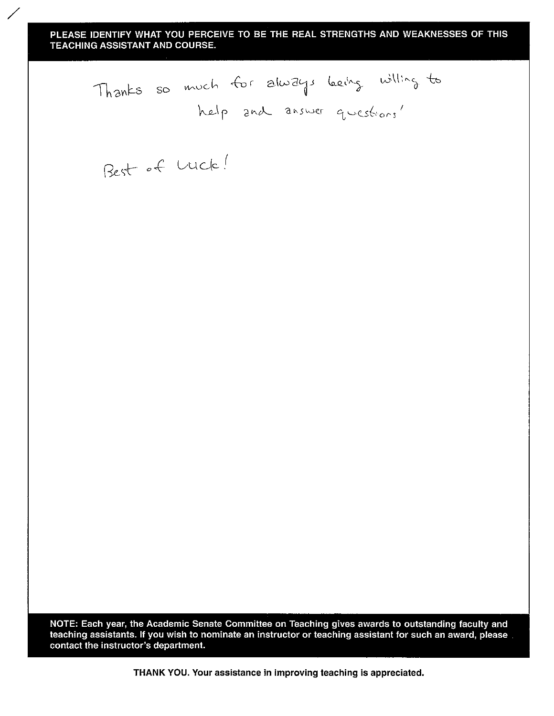Thanks so much for always being willing to

Best of Luck!

NOTE: Each year, the Academic Senate Committee on Teaching gives awards to outstanding faculty and teaching assistants. If you wish to nominate an instructor or teaching assistant for such an award, please contact the instructor's department.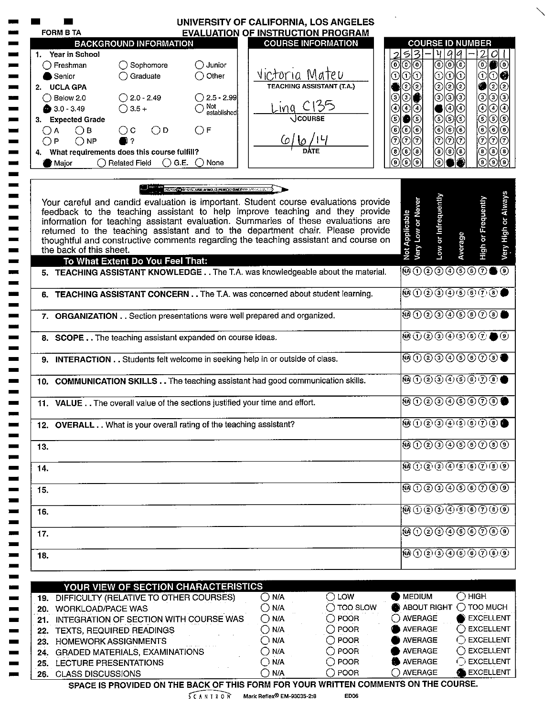|              | <b>FORM B TA</b>                                   |                                                                                | UNIVERSITY OF CALIFORNIA, LOS ANGELES<br><b>EVALUATION OF INSTRUCTION PROGRAM</b> |                                  |                                                                                                                                                                     |                                                                                                                                                                                                                                                                                                                                                     |                                                                                                                                                                                                                                                                     |                                                                                   |
|--------------|----------------------------------------------------|--------------------------------------------------------------------------------|-----------------------------------------------------------------------------------|----------------------------------|---------------------------------------------------------------------------------------------------------------------------------------------------------------------|-----------------------------------------------------------------------------------------------------------------------------------------------------------------------------------------------------------------------------------------------------------------------------------------------------------------------------------------------------|---------------------------------------------------------------------------------------------------------------------------------------------------------------------------------------------------------------------------------------------------------------------|-----------------------------------------------------------------------------------|
|              |                                                    | <b>BACKGROUND INFORMATION</b>                                                  |                                                                                   |                                  | <b>COURSE INFORMATION</b>                                                                                                                                           |                                                                                                                                                                                                                                                                                                                                                     | <b>COURSE ID NUMBER</b>                                                                                                                                                                                                                                             |                                                                                   |
|              | 1 Year in School                                   |                                                                                |                                                                                   |                                  |                                                                                                                                                                     | 5 <br>3                                                                                                                                                                                                                                                                                                                                             | 99<br>ਮ                                                                                                                                                                                                                                                             | $\mathbf{2}$<br>OI                                                                |
|              | $\bigcap$ Freshman                                 | $\bigcirc$ Sophomore                                                           | $\bigcirc$ Junior                                                                 |                                  |                                                                                                                                                                     | ⊚∣⊙<br>0)                                                                                                                                                                                                                                                                                                                                           | ಄©                                                                                                                                                                                                                                                                  | ಄●©                                                                               |
|              | Senior                                             | $\bigcap$ Graduate                                                             | $\bigcirc$ Other                                                                  |                                  |                                                                                                                                                                     | ⊙<br>0                                                                                                                                                                                                                                                                                                                                              | ⊙<br>രര                                                                                                                                                                                                                                                             | $_{\tiny\textregistered}$<br>06                                                   |
|              | 2. UCLA GPA                                        |                                                                                |                                                                                   | VICTOrIA Mateu                   |                                                                                                                                                                     | ②②                                                                                                                                                                                                                                                                                                                                                  | © © ©                                                                                                                                                                                                                                                               | ව∣ව<br>◉                                                                          |
|              | ( ) Below 2.0                                      | $\bigcirc$ 2.0 - 2.49                                                          | $\bigcirc$ 2.5 - 2.99                                                             |                                  |                                                                                                                                                                     | ଠା€<br>$\left(3\right)$                                                                                                                                                                                                                                                                                                                             | ಄಄಄                                                                                                                                                                                                                                                                 | $\odot$<br>ා⊙                                                                     |
|              | $\bullet$ 3.0 - 3.49                               | $\bigcirc$ 3.5 +                                                               | Not<br>established                                                                | <u>Ling C135</u><br>Joourse      |                                                                                                                                                                     | ⊙                                                                                                                                                                                                                                                                                                                                                   | <b>④</b> ⊙                                                                                                                                                                                                                                                          | $\bar{\odot}$<br>$\circledcirc$                                                   |
|              | 3. Expected Grade                                  |                                                                                |                                                                                   |                                  |                                                                                                                                                                     | (5)<br>5                                                                                                                                                                                                                                                                                                                                            | ಄಄಄                                                                                                                                                                                                                                                                 | $\bar{\bm{\Theta}}$<br>$\circ$                                                    |
| $\bigcirc$ A | $\bigcirc$ B                                       | $\bigcirc$ D<br>$\bigcirc$ c                                                   | $\bigcirc$ F                                                                      |                                  |                                                                                                                                                                     | ⊙<br>⊙<br>ί6,                                                                                                                                                                                                                                                                                                                                       | ⊚ା©ା⊙ା                                                                                                                                                                                                                                                              | $\circledcirc$<br>$\odot \odot$                                                   |
| ∩ P          | $\bigcirc$ NP                                      | 92                                                                             |                                                                                   | 6/6/14                           |                                                                                                                                                                     | の<br>7)                                                                                                                                                                                                                                                                                                                                             | <u>ତାରାତା</u>                                                                                                                                                                                                                                                       | O<br>⊙∣⊙                                                                          |
|              |                                                    | 4. What requirements does this course fulfill?                                 |                                                                                   |                                  |                                                                                                                                                                     | (8)<br>$\mathbf{8}$                                                                                                                                                                                                                                                                                                                                 | $\circledS$<br>◉                                                                                                                                                                                                                                                    | $\circledcirc$<br>(ව)(ව                                                           |
|              | Major                                              | ◯ Related Field                                                                | $\bigcirc$ G.E. $\bigcirc$ None                                                   |                                  |                                                                                                                                                                     |                                                                                                                                                                                                                                                                                                                                                     |                                                                                                                                                                                                                                                                     | ⊚<br>டு                                                                           |
|              |                                                    |                                                                                | <b>ANTIFICATION CONTROLLING AND APPROUDING CONTRACTORY</b>                        |                                  | Your careful and candid evaluation is important. Student course evaluations provide<br>feedback to the teaching assistant to help improve teaching and they provide | Very Low or Never                                                                                                                                                                                                                                                                                                                                   | Low or Infrequently                                                                                                                                                                                                                                                 | <b>High or Frequently</b>                                                         |
|              |                                                    |                                                                                |                                                                                   |                                  | information for teaching assistant evaluation. Summaries of these evaluations are                                                                                   |                                                                                                                                                                                                                                                                                                                                                     |                                                                                                                                                                                                                                                                     |                                                                                   |
|              |                                                    |                                                                                |                                                                                   |                                  | returned to the teaching assistant and to the department chair. Please provide                                                                                      |                                                                                                                                                                                                                                                                                                                                                     |                                                                                                                                                                                                                                                                     |                                                                                   |
|              | the back of this sheet.                            |                                                                                |                                                                                   |                                  | thoughtful and constructive comments regarding the teaching assistant and course on                                                                                 | Not Applicable                                                                                                                                                                                                                                                                                                                                      | Average                                                                                                                                                                                                                                                             |                                                                                   |
|              |                                                    | To What Extent Do You Feel That:                                               |                                                                                   |                                  |                                                                                                                                                                     |                                                                                                                                                                                                                                                                                                                                                     |                                                                                                                                                                                                                                                                     |                                                                                   |
|              |                                                    |                                                                                |                                                                                   |                                  | 5. TEACHING ASSISTANT KNOWLEDGE The T.A. was knowledgeable about the material.                                                                                      | $\textcircled{\tiny{0}}\textcircled{\tiny{0}}\textcircled{\tiny{0}}\textcircled{\tiny{0}}\textcircled{\tiny{0}}$                                                                                                                                                                                                                                    |                                                                                                                                                                                                                                                                     |                                                                                   |
|              |                                                    | 6. TEACHING ASSISTANT CONCERN The T.A. was concerned about student learning.   |                                                                                   |                                  |                                                                                                                                                                     | $\begin{picture}(45,10) \put(0,0){\line(1,0){10}} \put(15,0){\line(1,0){10}} \put(15,0){\line(1,0){10}} \put(15,0){\line(1,0){10}} \put(15,0){\line(1,0){10}} \put(15,0){\line(1,0){10}} \put(15,0){\line(1,0){10}} \put(15,0){\line(1,0){10}} \put(15,0){\line(1,0){10}} \put(15,0){\line(1,0){10}} \put(15,0){\line(1,0){10}} \put(15,0){\line(1$ |                                                                                                                                                                                                                                                                     |                                                                                   |
|              |                                                    | 7. ORGANIZATION Section presentations were well prepared and organized.        |                                                                                   |                                  |                                                                                                                                                                     | $\textcircled{\footnotesize\textcircled{\footnotesize\textcircled{\footnotesize\textcircled{\footnotesize\textcirc}}} \textcircled{\footnotesize\textcircled{\footnotesize\textcircled{\footnotesize\textcirc}}} \textcircled{\footnotesize\textcircled{\footnotesize\textcirc}} \textcircled{\footnotesize\textcircled{\footnotesize\textcirc}}$   |                                                                                                                                                                                                                                                                     |                                                                                   |
|              |                                                    | 8. SCOPE The teaching assistant expanded on course ideas.                      |                                                                                   |                                  |                                                                                                                                                                     | <b>@00000000</b>                                                                                                                                                                                                                                                                                                                                    |                                                                                                                                                                                                                                                                     |                                                                                   |
|              |                                                    | 9. INTERACTION Students felt welcome in seeking help in or outside of class.   |                                                                                   |                                  |                                                                                                                                                                     | $\textcircled{\tiny{0}}$ 0000000                                                                                                                                                                                                                                                                                                                    |                                                                                                                                                                                                                                                                     |                                                                                   |
|              |                                                    | 10. COMMUNICATION SKILLS The teaching assistant had good communication skills. |                                                                                   |                                  |                                                                                                                                                                     | <b>00000000000</b>                                                                                                                                                                                                                                                                                                                                  |                                                                                                                                                                                                                                                                     |                                                                                   |
|              |                                                    | 11. VALUE The overall value of the sections justified your time and effort.    |                                                                                   |                                  |                                                                                                                                                                     | <b>0000000000</b>                                                                                                                                                                                                                                                                                                                                   |                                                                                                                                                                                                                                                                     |                                                                                   |
|              |                                                    | 12. OVERALL What is your overall rating of the teaching assistant?             |                                                                                   |                                  |                                                                                                                                                                     | <b>@①②③④⑤⑥⑦⑧●</b>                                                                                                                                                                                                                                                                                                                                   |                                                                                                                                                                                                                                                                     |                                                                                   |
| 13.          |                                                    |                                                                                |                                                                                   |                                  |                                                                                                                                                                     |                                                                                                                                                                                                                                                                                                                                                     |                                                                                                                                                                                                                                                                     |                                                                                   |
| 14.          |                                                    |                                                                                |                                                                                   |                                  |                                                                                                                                                                     |                                                                                                                                                                                                                                                                                                                                                     | $\overline{(\mathsf{A})}$ $\overline{(\mathsf{1})}$ $\overline{(\mathsf{2})}$ $\overline{(\mathsf{3})}$ $\overline{(\mathsf{4})}$ $\overline{(\mathsf{5})}$ $\overline{(\mathsf{6})}$ $\overline{(\mathsf{7})}$ $\overline{(\mathsf{8})}$ $\overline{(\mathsf{9})}$ |                                                                                   |
| 15.          |                                                    |                                                                                |                                                                                   |                                  |                                                                                                                                                                     | 9000000000                                                                                                                                                                                                                                                                                                                                          |                                                                                                                                                                                                                                                                     |                                                                                   |
|              |                                                    |                                                                                |                                                                                   |                                  |                                                                                                                                                                     | 0000000000                                                                                                                                                                                                                                                                                                                                          |                                                                                                                                                                                                                                                                     |                                                                                   |
| 16.          |                                                    |                                                                                |                                                                                   |                                  |                                                                                                                                                                     |                                                                                                                                                                                                                                                                                                                                                     | $\Theta$ $\Theta$ $\Omega$ $\Theta$ $\Theta$ $\Theta$ $\Theta$ $\Theta$ $\Theta$                                                                                                                                                                                    |                                                                                   |
| 17.          |                                                    |                                                                                |                                                                                   |                                  |                                                                                                                                                                     |                                                                                                                                                                                                                                                                                                                                                     |                                                                                                                                                                                                                                                                     |                                                                                   |
| 18.          |                                                    |                                                                                |                                                                                   |                                  |                                                                                                                                                                     | <b>®①②③④⑤⑥⑦⑥⑨</b>                                                                                                                                                                                                                                                                                                                                   |                                                                                                                                                                                                                                                                     |                                                                                   |
|              |                                                    |                                                                                |                                                                                   |                                  |                                                                                                                                                                     |                                                                                                                                                                                                                                                                                                                                                     |                                                                                                                                                                                                                                                                     |                                                                                   |
|              |                                                    | YOUR VIEW OF SECTION CHARACTERISTICS                                           |                                                                                   |                                  |                                                                                                                                                                     |                                                                                                                                                                                                                                                                                                                                                     |                                                                                                                                                                                                                                                                     |                                                                                   |
|              |                                                    | 19. DIFFICULTY (RELATIVE TO OTHER COURSES)                                     |                                                                                   | $\bigcirc$ N/A                   | $\bigcirc$ low                                                                                                                                                      | <b>MEDIUM</b>                                                                                                                                                                                                                                                                                                                                       |                                                                                                                                                                                                                                                                     | $\bigcirc$ HIGH                                                                   |
|              | 20. WORKLOAD/PACE WAS                              |                                                                                |                                                                                   | $\bigcirc$ N/A                   | $\bigcap$ TOO SLOW                                                                                                                                                  | ABOUT RIGHT                                                                                                                                                                                                                                                                                                                                         |                                                                                                                                                                                                                                                                     | $\bigcirc$ TOO MUCH                                                               |
|              |                                                    | 21. INTEGRATION OF SECTION WITH COURSE WAS                                     |                                                                                   | $\bigcirc$ N/A                   | $\bigcirc$ POOR                                                                                                                                                     | ◯ AVERAGE                                                                                                                                                                                                                                                                                                                                           |                                                                                                                                                                                                                                                                     | EXCELLENT                                                                         |
|              |                                                    | 22. TEXTS, REQUIRED READINGS                                                   |                                                                                   | $\bigcirc$ N/A                   | $\bigcirc$ POOR                                                                                                                                                     | AVERAGE                                                                                                                                                                                                                                                                                                                                             |                                                                                                                                                                                                                                                                     | $\bigcirc$ excellent                                                              |
|              | 23. HOMEWORK ASSIGNMENTS                           |                                                                                |                                                                                   | $\bigcirc$ n/a                   | $\bigcirc$ POOR                                                                                                                                                     | <b>AVERAGE</b>                                                                                                                                                                                                                                                                                                                                      |                                                                                                                                                                                                                                                                     |                                                                                   |
|              |                                                    | 24. GRADED MATERIALS, EXAMINATIONS                                             |                                                                                   | $\bigcirc$ N/A                   | $\bigcirc$ POOR                                                                                                                                                     | <b>AVERAGE</b>                                                                                                                                                                                                                                                                                                                                      |                                                                                                                                                                                                                                                                     |                                                                                   |
|              | 25. LECTURE PRESENTATIONS<br>26. CLASS DISCUSSIONS |                                                                                |                                                                                   | $\bigcirc$ N/A<br>$\bigcirc$ N/A | $\bigcirc$ POOR<br>$\bigcirc$ poor                                                                                                                                  | AVERAGE<br>$\bigcap$ AVERAGE                                                                                                                                                                                                                                                                                                                        |                                                                                                                                                                                                                                                                     | $\bigcirc$ EXCELLENT<br>$\bigcirc$ EXCELLENT<br>$\bigcirc$ EXCELLENT<br>EXCELLENT |

 $5 C A N I R ON$  Mark Reflex<sup>®</sup> EM-93035-2:8

ED06

 $\diagdown$ 

 $\sim$   $\sim$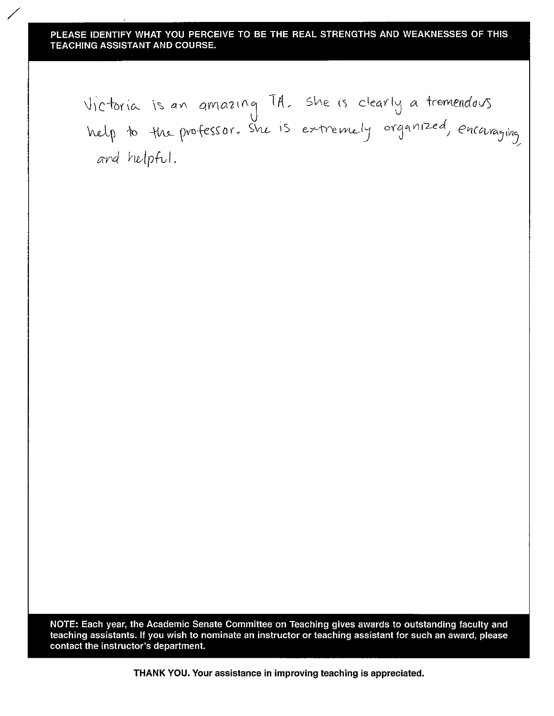Victoria is an amazing TA. She is clearly a tremendous<br>help to the professor. She is extremely organized, encouraging and helpful.

NOTE: Each year, the Academic Senate Committee on Teaching gives awards to outstanding faculty and teaching assistants. If you wish to nominate an instructor or teaching assistant for such an award, please contact the instructor's department.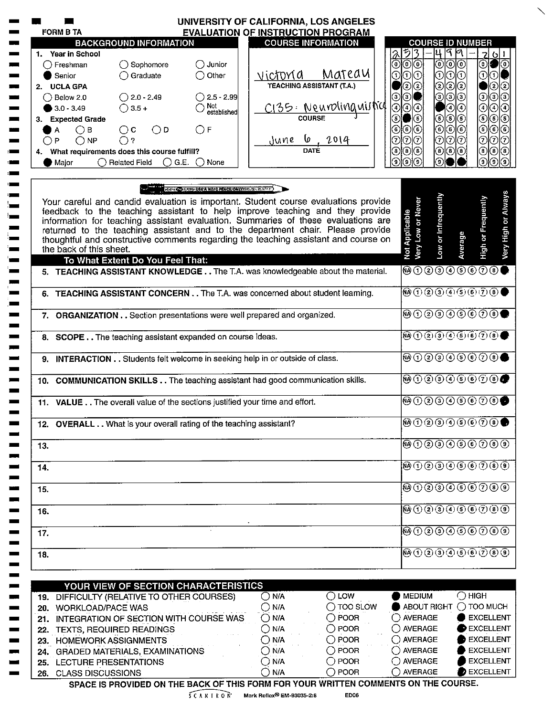|     | UNIVERSITY OF CALIFORNIA, LOS ANGELES<br><b>EVALUATION OF INSTRUCTION PROGRAM</b><br><b>FORM B TA</b>                                                                                                                                                                                                                                                                                                                                                                                       |                                     |                                                                                                                                                                                                                                                                                                                                                          |                     |                                  |
|-----|---------------------------------------------------------------------------------------------------------------------------------------------------------------------------------------------------------------------------------------------------------------------------------------------------------------------------------------------------------------------------------------------------------------------------------------------------------------------------------------------|-------------------------------------|----------------------------------------------------------------------------------------------------------------------------------------------------------------------------------------------------------------------------------------------------------------------------------------------------------------------------------------------------------|---------------------|----------------------------------|
|     | <b>BACKGROUND INFORMATION</b><br><b>COURSE INFORMATION</b>                                                                                                                                                                                                                                                                                                                                                                                                                                  |                                     | <b>COURSE ID NUMBER</b>                                                                                                                                                                                                                                                                                                                                  |                     |                                  |
|     | 1. Year in School                                                                                                                                                                                                                                                                                                                                                                                                                                                                           | ち                                   | ٩<br>4                                                                                                                                                                                                                                                                                                                                                   | M                   | 2 6 1                            |
|     | $\bigcirc$ Sophomore<br>$\bigcirc$ Junior<br>() Freshman                                                                                                                                                                                                                                                                                                                                                                                                                                    | $\circledcirc$<br>0                 | $_{\odot}$                                                                                                                                                                                                                                                                                                                                               | ⊚ ⊙                 | $^\copyright$                    |
|     | Matedu<br>victoria<br>$\bigcap$ Graduate<br>$\bigcirc$ Other<br>Senior                                                                                                                                                                                                                                                                                                                                                                                                                      | 0lO<br>$\mathcal{F}$                | Ⅵ                                                                                                                                                                                                                                                                                                                                                        |                     | $\odot$ ଠ $\blacksquare$         |
|     | <b>TEACHING ASSISTANT (T.A.)</b><br>2. UCLA GPA                                                                                                                                                                                                                                                                                                                                                                                                                                             | ②③                                  | $\rm (2)$                                                                                                                                                                                                                                                                                                                                                |                     | ව ව                              |
|     | $\bigcirc$ 2.0 - 2.49<br>$\bigcirc$ 2.5 - 2.99<br>$\bigcirc$ Below 2.0                                                                                                                                                                                                                                                                                                                                                                                                                      | $\odot$                             | ⊙                                                                                                                                                                                                                                                                                                                                                        |                     | $\odot$<br>⊚ ⊙                   |
|     | <u> C135: Neuroling</u> uistic<br>$\bigcirc$ Not<br>established<br>$\bigcirc$ 3.5 +<br>$3.0 - 3.49$                                                                                                                                                                                                                                                                                                                                                                                         | ଭି ⊙ ⊕                              | ◉                                                                                                                                                                                                                                                                                                                                                        | (4)                 | $^{\circledR}$<br>④ ⊙            |
|     | <b>COURSE</b><br>3. Expected Grade                                                                                                                                                                                                                                                                                                                                                                                                                                                          | (5)<br>5                            | $\circledast$                                                                                                                                                                                                                                                                                                                                            | (5) (5)             | ಄ ⊚ ⊚                            |
| А   | $\bigcirc$ F<br>$\bigcirc$ c<br>$\bigcirc$ D<br>$\bigcirc$ B                                                                                                                                                                                                                                                                                                                                                                                                                                | ⊚∣⊙<br>6                            | $_{\odot}$                                                                                                                                                                                                                                                                                                                                               | 66                  | $\circledcirc$<br>$\circledcirc$ |
| P   | $\frac{6}{\text{DATE}}$<br>June<br>$\bigcirc$ NP<br>$\bigcirc$ ?                                                                                                                                                                                                                                                                                                                                                                                                                            | ⊙∣⊙<br>℗                            | ⊙∣⊙∣⊙∣                                                                                                                                                                                                                                                                                                                                                   |                     | $\overline{1}$<br>டு⊙            |
|     | 4. What requirements does this course fulfill?                                                                                                                                                                                                                                                                                                                                                                                                                                              | $\circledast$<br>◉                  | ® ® ®                                                                                                                                                                                                                                                                                                                                                    |                     | $^{\circledR}$<br>$\circledcirc$ |
|     | $\bigcirc$ G.E. $\bigcirc$ None<br>$\bigcap$ Related Field<br>Major                                                                                                                                                                                                                                                                                                                                                                                                                         | 9)                                  | ۵)                                                                                                                                                                                                                                                                                                                                                       |                     | $\widehat{\mathbf{e}}$<br>9)     |
|     | REGAR OD A MOSAUSE ANNO 22 PENCILIONI VARIATION REGARD<br>Your careful and candid evaluation is important. Student course evaluations provide<br>feedback to the teaching assistant to help improve teaching and they provide<br>information for teaching assistant evaluation. Summaries of these evaluations are<br>returned to the teaching assistant and to the department chair. Please provide<br>thoughtful and constructive comments regarding the teaching assistant and course on | Very Low or Never<br>Not Applicable | Low or Infrequently                                                                                                                                                                                                                                                                                                                                      | Average             | High or Frequently               |
|     | the back of this sheet.                                                                                                                                                                                                                                                                                                                                                                                                                                                                     |                                     |                                                                                                                                                                                                                                                                                                                                                          |                     |                                  |
|     | To What Extent Do You Feel That:                                                                                                                                                                                                                                                                                                                                                                                                                                                            |                                     |                                                                                                                                                                                                                                                                                                                                                          |                     |                                  |
|     | 5. TEACHING ASSISTANT KNOWLEDGE The T.A. was knowledgeable about the material.                                                                                                                                                                                                                                                                                                                                                                                                              |                                     | @0@0@0@0@0@                                                                                                                                                                                                                                                                                                                                              |                     |                                  |
| 6.  | TEACHING ASSISTANT CONCERN The T.A. was concerned about student learning.                                                                                                                                                                                                                                                                                                                                                                                                                   |                                     | $\begin{picture}(40,40)(-0.0,3){\line(1,0){10}} \put(15,10){\line(1,0){10}} \put(15,10){\line(1,0){10}} \put(15,10){\line(1,0){10}} \put(15,10){\line(1,0){10}} \put(15,10){\line(1,0){10}} \put(15,10){\line(1,0){10}} \put(15,10){\line(1,0){10}} \put(15,10){\line(1,0){10}} \put(15,10){\line(1,0){10}} \put(15,10){\line(1,0){10}} \put$            |                     |                                  |
|     | 7. ORGANIZATION Section presentations were well prepared and organized.                                                                                                                                                                                                                                                                                                                                                                                                                     |                                     | $\begin{picture}(150,10) \put(0,0){\line(1,0){10}} \put(15,0){\line(1,0){10}} \put(15,0){\line(1,0){10}} \put(15,0){\line(1,0){10}} \put(15,0){\line(1,0){10}} \put(15,0){\line(1,0){10}} \put(15,0){\line(1,0){10}} \put(15,0){\line(1,0){10}} \put(15,0){\line(1,0){10}} \put(15,0){\line(1,0){10}} \put(15,0){\line(1,0){10}} \put(15,0){\line($      |                     |                                  |
|     | 8. SCOPE The teaching assistant expanded on course ideas.                                                                                                                                                                                                                                                                                                                                                                                                                                   |                                     | $\overline{\mathbf{\Theta} \oplus \mathbf{\Theta} \oplus \mathbf{\Theta} \oplus \mathbf{\Theta} \oplus \mathbf{\Theta}}$                                                                                                                                                                                                                                 |                     |                                  |
|     |                                                                                                                                                                                                                                                                                                                                                                                                                                                                                             |                                     |                                                                                                                                                                                                                                                                                                                                                          |                     |                                  |
|     | 9. INTERACTION Students felt welcome in seeking help in or outside of class.                                                                                                                                                                                                                                                                                                                                                                                                                |                                     | <b>®①②③④⑤⑥⑦⑧●</b>                                                                                                                                                                                                                                                                                                                                        |                     |                                  |
|     | 10. COMMUNICATION SKILLS The teaching assistant had good communication skills.                                                                                                                                                                                                                                                                                                                                                                                                              |                                     | $\begin{picture}(40,4) \put(0,0){\line(1,0){10}} \put(0,0){\line(1,0){10}} \put(1,0){\line(1,0){10}} \put(1,0){\line(1,0){10}} \put(1,0){\line(1,0){10}} \put(1,0){\line(1,0){10}} \put(1,0){\line(1,0){10}} \put(1,0){\line(1,0){10}} \put(1,0){\line(1,0){10}} \put(1,0){\line(1,0){10}} \put(1,0){\line(1,0){10}} \put(1,0){\line(1,0){10}} \put(1,0$ |                     |                                  |
|     | 11. VALUE The overall value of the sections justified your time and effort.                                                                                                                                                                                                                                                                                                                                                                                                                 |                                     | $\textcircled{\tiny{0}}$ 0000 $\textcircled{\tiny{0}}$                                                                                                                                                                                                                                                                                                   |                     |                                  |
|     | 12. OVERALL What is your overall rating of the teaching assistant?                                                                                                                                                                                                                                                                                                                                                                                                                          |                                     | <b>®①②③④⑤⑥⑦⑧●</b>                                                                                                                                                                                                                                                                                                                                        |                     |                                  |
| 13. |                                                                                                                                                                                                                                                                                                                                                                                                                                                                                             |                                     | $\overline{\mathbb{\Theta}\oplus \mathbb{\Theta}\oplus \mathbb{\Theta}\oplus \mathbb{\Theta}\oplus \mathbb{\Theta}}$                                                                                                                                                                                                                                     |                     |                                  |
|     |                                                                                                                                                                                                                                                                                                                                                                                                                                                                                             |                                     |                                                                                                                                                                                                                                                                                                                                                          |                     |                                  |
| 14. |                                                                                                                                                                                                                                                                                                                                                                                                                                                                                             |                                     | $\overline{\mathfrak{B}\oplus\mathfrak{O}}\oplus\overline{\mathfrak{O}}\oplus\overline{\mathfrak{O}}\oplus\overline{\mathfrak{O}}$                                                                                                                                                                                                                       |                     |                                  |
| 15. |                                                                                                                                                                                                                                                                                                                                                                                                                                                                                             |                                     | $\textcircled{\tiny{0}}$ $\textcircled{\tiny{0}}$ $\textcircled{\tiny{0}}$ $\textcircled{\tiny{0}}$ $\textcircled{\tiny{0}}$                                                                                                                                                                                                                             |                     |                                  |
| 16. |                                                                                                                                                                                                                                                                                                                                                                                                                                                                                             |                                     | $\overline{M}$ $\overline{D}$ $\overline{D}$ $\overline{D}$ $\overline{D}$ $\overline{D}$ $\overline{D}$ $\overline{D}$ $\overline{D}$ $\overline{D}$ $\overline{D}$ $\overline{D}$ $\overline{D}$ $\overline{D}$ $\overline{D}$                                                                                                                         |                     |                                  |
| 17. |                                                                                                                                                                                                                                                                                                                                                                                                                                                                                             |                                     | <b>@00000000</b>                                                                                                                                                                                                                                                                                                                                         |                     |                                  |
| 18. |                                                                                                                                                                                                                                                                                                                                                                                                                                                                                             |                                     | <b>@①②③④⑤⑥⑦⑧⑨</b>                                                                                                                                                                                                                                                                                                                                        |                     |                                  |
|     |                                                                                                                                                                                                                                                                                                                                                                                                                                                                                             |                                     |                                                                                                                                                                                                                                                                                                                                                          |                     |                                  |
|     | YOUR VIEW OF SECTION CHARACTERISTICS<br>$\overline{O}$ N/A<br>$\bigcirc$ LOW                                                                                                                                                                                                                                                                                                                                                                                                                | <b>MEDIUM</b>                       |                                                                                                                                                                                                                                                                                                                                                          | $\bigcirc$ HIGH     |                                  |
|     | 19. DIFFICULTY (RELATIVE TO OTHER COURSES)<br>$\bigcap$ TOO SLOW<br>$\bigcirc$ N/A                                                                                                                                                                                                                                                                                                                                                                                                          |                                     | ABOUT RIGHT                                                                                                                                                                                                                                                                                                                                              | $\bigcirc$ too much |                                  |
|     | 20. WORKLOAD/PACE WAS<br>$\bigcirc$ POOR                                                                                                                                                                                                                                                                                                                                                                                                                                                    | $\bigcirc$ AVERAGE                  |                                                                                                                                                                                                                                                                                                                                                          |                     | EXCELLENT                        |
|     | 21. INTEGRATION OF SECTION WITH COURSE WAS<br>$\bigcirc$ N/A<br>$\bigcirc$ POOR<br>$\bigcirc$ N/A                                                                                                                                                                                                                                                                                                                                                                                           | $\bigcirc$ AVERAGE                  |                                                                                                                                                                                                                                                                                                                                                          |                     | EXCELLENT                        |
|     | 22. TEXTS, REQUIRED READINGS<br>$\bigcirc$ N/A<br>$\bigcirc$ POOR                                                                                                                                                                                                                                                                                                                                                                                                                           | ◯ AVERAGE                           |                                                                                                                                                                                                                                                                                                                                                          |                     | EXCELLENT                        |
|     | 23. HOMEWORK ASSIGNMENTS<br>$\bigcirc$ POOR<br>$\bigcirc$ N/A<br>24. GRADED MATERIALS, EXAMINATIONS                                                                                                                                                                                                                                                                                                                                                                                         | $\bigcirc$ AVERAGE                  |                                                                                                                                                                                                                                                                                                                                                          |                     | EXCELLENT                        |
|     | $\bigcirc$ POOR<br>$\bigcirc$ N/A<br>25. LECTURE PRESENTATIONS                                                                                                                                                                                                                                                                                                                                                                                                                              | $\bigcirc$ AVERAGE                  |                                                                                                                                                                                                                                                                                                                                                          |                     | <b>EXCELLENT</b>                 |
|     | $\bigcap$ N/A<br>$\bigcirc$ POOR<br>26. CLASS DISCUSSIONS                                                                                                                                                                                                                                                                                                                                                                                                                                   | $\bigcirc$ AVERAGE                  |                                                                                                                                                                                                                                                                                                                                                          |                     | EXCELLENT                        |
|     |                                                                                                                                                                                                                                                                                                                                                                                                                                                                                             |                                     | SPACE IS PROVIDED ON THE BACK OF THIS FORM FOR YOUR WRITTEN COMMENTS ON THE COURSE.                                                                                                                                                                                                                                                                      |                     |                                  |

 $5 C A N I R O N$  Mark Reflex<sup>®</sup> EM-93035-2:8

**ED06** 

 $\diagdown$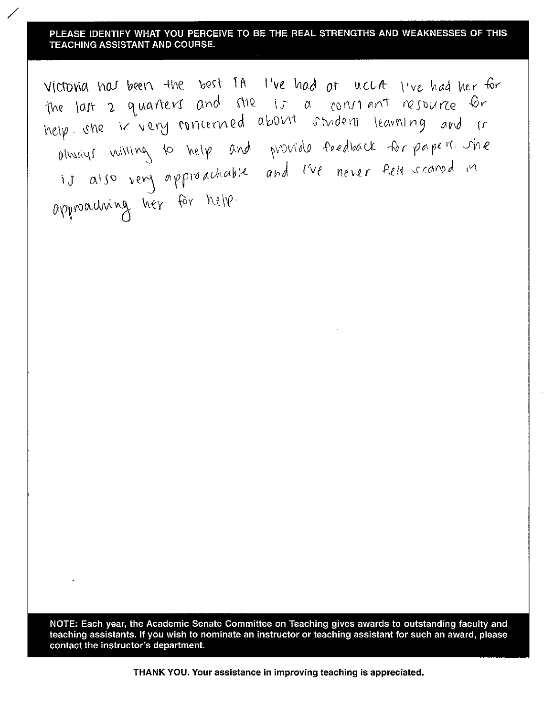Victoria has been the best IA live had at uccA. I've had her for the last 2 quarters and she is a constant resource for help she is very concerned about student learning and is olivery willing to help and provide feedback for papers. The<br>is also very approachable and live never felt scared in approaching her for help.

NOTE: Each year, the Academic Senate Committee on Teaching gives awards to outstanding faculty and teaching assistants. If you wish to nominate an instructor or teaching assistant for such an award, please contact the instructor's department.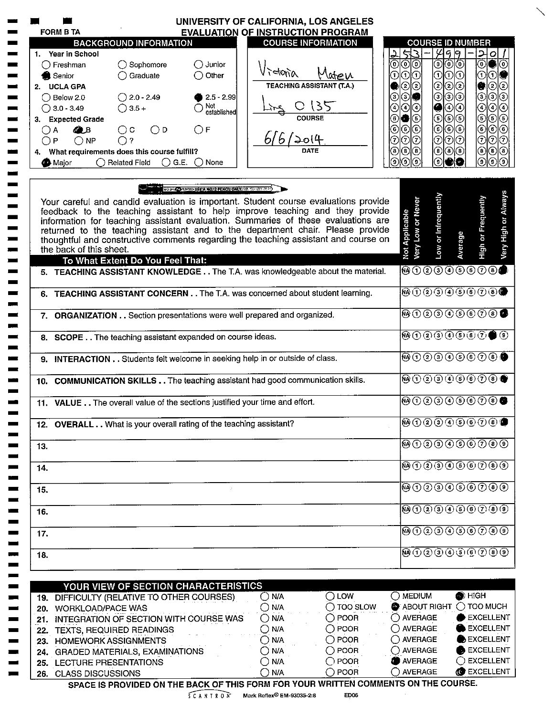| <b>FORM B TA</b>                                   |                                                                                     | UNIVERSITY OF CALIFORNIA, LOS ANGELES<br><b>EVALUATION OF INSTRUCTION PROGRAM</b> |                                    |                                                                                                                                                                                                                                                                                                                                                                                                                                                                                                                                                                                                                                                         |                                                         |
|----------------------------------------------------|-------------------------------------------------------------------------------------|-----------------------------------------------------------------------------------|------------------------------------|---------------------------------------------------------------------------------------------------------------------------------------------------------------------------------------------------------------------------------------------------------------------------------------------------------------------------------------------------------------------------------------------------------------------------------------------------------------------------------------------------------------------------------------------------------------------------------------------------------------------------------------------------------|---------------------------------------------------------|
|                                                    | <b>BACKGROUND INFORMATION</b>                                                       |                                                                                   | <b>COURSE INFORMATION</b>          |                                                                                                                                                                                                                                                                                                                                                                                                                                                                                                                                                                                                                                                         | <b>COURSE ID NUMBER</b>                                 |
| 1. Year in School                                  |                                                                                     |                                                                                   |                                    | 43                                                                                                                                                                                                                                                                                                                                                                                                                                                                                                                                                                                                                                                      | 499<br>거이                                               |
| $\bigcirc$ Freshman                                | $\bigcirc$ Sophomore<br>$\bigcirc$ Junior                                           |                                                                                   |                                    | 0 0<br>◉                                                                                                                                                                                                                                                                                                                                                                                                                                                                                                                                                                                                                                                | ಄಄಄<br>⊙∣●∣ତ                                            |
| <b>A</b> Senior                                    | $\bigcirc$ Graduate<br>$\bigcirc$ Other                                             | $\lambda$ idention                                                                | wew                                | 010<br>⊙                                                                                                                                                                                                                                                                                                                                                                                                                                                                                                                                                                                                                                                | 01010<br>OIO                                            |
| 2. UCLA GPA                                        |                                                                                     |                                                                                   | <b>TEACHING ASSISTANT (T.A.)</b>   | ව(ව                                                                                                                                                                                                                                                                                                                                                                                                                                                                                                                                                                                                                                                     | ಄಄಄<br>$\circled{2}$<br>Ø                               |
| $\bigcirc$ Below 2.0                               | $\bigcirc$ 2.0 - 2.49                                                               | $2.5 - 2.99$                                                                      |                                    | ⊚∣<br>☉<br>31∎                                                                                                                                                                                                                                                                                                                                                                                                                                                                                                                                                                                                                                          | ⊚⊚<br>$_{\odot}$<br>ම©                                  |
| $\bigcirc$ 3.0 - 3.49                              | $\bigcirc$ 3.5 +                                                                    | Not<br>established                                                                | 135                                | $\bullet$<br>④<br>಄                                                                                                                                                                                                                                                                                                                                                                                                                                                                                                                                                                                                                                     | $_{\odot}$<br>④⊙<br>಄                                   |
| 3. Expected Grade                                  |                                                                                     |                                                                                   | <b>COURSE</b>                      | O 6<br>(5                                                                                                                                                                                                                                                                                                                                                                                                                                                                                                                                                                                                                                               | © © ©<br>$\odot$<br>$\bigcirc$ $\bigcirc$               |
| <b>Q</b> B<br>( ) A                                | $\bigcirc$ D<br>$\bigcirc$ c<br>OЕ                                                  |                                                                                   |                                    | $\odot$<br>⊚∣⊙<br>◉                                                                                                                                                                                                                                                                                                                                                                                                                                                                                                                                                                                                                                     | ∣⊙∣⊙<br>$_{\odot}$<br>©∣⊙                               |
| $\bigcirc$ NP<br>◯Р                                | ∩?                                                                                  | 6/6/2014                                                                          |                                    | ⊙∣⊙<br> ⊙                                                                                                                                                                                                                                                                                                                                                                                                                                                                                                                                                                                                                                               | l⊙l⊙l⊙l<br>/⊙⊘<br>$\odot$                               |
|                                                    | 4. What requirements does this course fulfill?                                      |                                                                                   | DATE                               | $\circledast$<br>◉<br>(®) (®                                                                                                                                                                                                                                                                                                                                                                                                                                                                                                                                                                                                                            | (® ®<br>$\circledcirc$<br>$\circledast$                 |
| <b>A</b> Major                                     | $\bigcirc$ G.E. $\bigcirc$ None<br>$\bigcirc$ Related Field                         |                                                                                   |                                    | จิ<br>ົງ)<br>(၁)<br>໌ອົ                                                                                                                                                                                                                                                                                                                                                                                                                                                                                                                                                                                                                                 | ര<br>⊚                                                  |
|                                                    |                                                                                     |                                                                                   |                                    |                                                                                                                                                                                                                                                                                                                                                                                                                                                                                                                                                                                                                                                         |                                                         |
|                                                    |                                                                                     | <b>WEEK CONSIDER NOTE FENCIFONLY MESSES FOR</b>                                   |                                    |                                                                                                                                                                                                                                                                                                                                                                                                                                                                                                                                                                                                                                                         |                                                         |
|                                                    | Your careful and candid evaluation is important. Student course evaluations provide |                                                                                   |                                    |                                                                                                                                                                                                                                                                                                                                                                                                                                                                                                                                                                                                                                                         |                                                         |
|                                                    | feedback to the teaching assistant to help improve teaching and they provide        |                                                                                   |                                    |                                                                                                                                                                                                                                                                                                                                                                                                                                                                                                                                                                                                                                                         |                                                         |
|                                                    | information for teaching assistant evaluation. Summaries of these evaluations are   |                                                                                   |                                    |                                                                                                                                                                                                                                                                                                                                                                                                                                                                                                                                                                                                                                                         |                                                         |
|                                                    | returned to the teaching assistant and to the department chair. Please provide      |                                                                                   |                                    |                                                                                                                                                                                                                                                                                                                                                                                                                                                                                                                                                                                                                                                         |                                                         |
| the back of this sheet.                            | thoughtful and constructive comments regarding the teaching assistant and course on |                                                                                   |                                    | Low or Intrequently<br>Very Low or Never<br>Not Applicable                                                                                                                                                                                                                                                                                                                                                                                                                                                                                                                                                                                              | High or Frequently<br>Average                           |
|                                                    | To What Extent Do You Feel That:                                                    |                                                                                   |                                    |                                                                                                                                                                                                                                                                                                                                                                                                                                                                                                                                                                                                                                                         |                                                         |
|                                                    | 5. TEACHING ASSISTANT KNOWLEDGE The T.A. was knowledgeable about the material.      |                                                                                   |                                    | <b>@0000000@</b>                                                                                                                                                                                                                                                                                                                                                                                                                                                                                                                                                                                                                                        |                                                         |
|                                                    | 6. TEACHING ASSISTANT CONCERN The T.A. was concerned about student learning.        |                                                                                   |                                    | <b>10000000000</b>                                                                                                                                                                                                                                                                                                                                                                                                                                                                                                                                                                                                                                      |                                                         |
|                                                    |                                                                                     |                                                                                   |                                    |                                                                                                                                                                                                                                                                                                                                                                                                                                                                                                                                                                                                                                                         |                                                         |
|                                                    | 7. ORGANIZATION Section presentations were well prepared and organized.             |                                                                                   |                                    | $\overline{\omega} \overline{0} \overline{2} \overline{3} \overline{4} \overline{5} \overline{6} \overline{0} \overline{0}$                                                                                                                                                                                                                                                                                                                                                                                                                                                                                                                             |                                                         |
|                                                    | 8. SCOPE The teaching assistant expanded on course ideas.                           |                                                                                   |                                    | $\begin{array}{ c c c }\hline \text{\textcircled{\tiny{\textcirc}}}~\text{\textcircled{\tiny{\textcirc}}}~\text{\textcircled{\tiny{\textcirc}}}~\text{\textcircled{\tiny{\textcirc}}}~\text{\textcircled{\tiny{\textcirc}}}~\text{\textcircled{\tiny{\textcirc}}}~\text{\textcircled{\tiny{\textcirc}}}~\text{\textcircled{\tiny{\textcirc}}}~\text{\textcircled{\tiny{\textcirc}}}~\text{\textcircled{\tiny{\textcirc}}}~\text{\textcircled{\tiny{\textcirc}}}~\text{\textcircled{\tiny{\textcirc}}}~\text{\textcircled{\tiny{\textcirc}}}~\text{\textcircled{\tiny{\textcirc}}}~\text{\textcircled{\tiny{\textcirc}}}~\text{\textcircled{\tiny{\text$ |                                                         |
|                                                    | 9. INTERACTION Students felt welcome in seeking help in or outside of class.        |                                                                                   |                                    | $\textcircled{\tiny 0}$ 0000000                                                                                                                                                                                                                                                                                                                                                                                                                                                                                                                                                                                                                         |                                                         |
|                                                    |                                                                                     |                                                                                   |                                    |                                                                                                                                                                                                                                                                                                                                                                                                                                                                                                                                                                                                                                                         |                                                         |
|                                                    | 10. COMMUNICATION SKILLS The teaching assistant had good communication skills.      |                                                                                   |                                    | $\begin{picture}(45,10) \put(0,0){\line(1,0){10}} \put(15,0){\line(1,0){10}} \put(15,0){\line(1,0){10}} \put(15,0){\line(1,0){10}} \put(15,0){\line(1,0){10}} \put(15,0){\line(1,0){10}} \put(15,0){\line(1,0){10}} \put(15,0){\line(1,0){10}} \put(15,0){\line(1,0){10}} \put(15,0){\line(1,0){10}} \put(15,0){\line(1,0){10}} \put(15,0){\line(1$                                                                                                                                                                                                                                                                                                     |                                                         |
|                                                    | 11. VALUE The overall value of the sections justified your time and effort.         |                                                                                   |                                    | $\textcircled{\tiny{0}}$ 0000 $\textcircled{\tiny{0}}$ 00                                                                                                                                                                                                                                                                                                                                                                                                                                                                                                                                                                                               |                                                         |
|                                                    | 12. OVERALL What is your overall rating of the teaching assistant?                  |                                                                                   |                                    | ଊ①②③④⑤⑥⑦®●                                                                                                                                                                                                                                                                                                                                                                                                                                                                                                                                                                                                                                              |                                                         |
| 13.                                                |                                                                                     |                                                                                   |                                    | 0000000000                                                                                                                                                                                                                                                                                                                                                                                                                                                                                                                                                                                                                                              |                                                         |
| 14.                                                |                                                                                     |                                                                                   |                                    | $\overline{\mathbb{\Theta} \oplus \mathbb{\Theta} \oplus \mathbb{\Theta} \oplus \mathbb{\Theta} \oplus \mathbb{\Theta}}$                                                                                                                                                                                                                                                                                                                                                                                                                                                                                                                                |                                                         |
|                                                    |                                                                                     |                                                                                   |                                    | $\overline{\mathbf{w}}$ 00000000                                                                                                                                                                                                                                                                                                                                                                                                                                                                                                                                                                                                                        |                                                         |
| 15.                                                |                                                                                     | $\mathcal{I}$                                                                     |                                    |                                                                                                                                                                                                                                                                                                                                                                                                                                                                                                                                                                                                                                                         |                                                         |
| 16.                                                |                                                                                     |                                                                                   |                                    | $\overline{\mathbf{W}}\oplus\overline{\mathbf{O}}$ (2) (3) (4) (5) $\oplus$ (5) (6) (9)                                                                                                                                                                                                                                                                                                                                                                                                                                                                                                                                                                 |                                                         |
| 17.                                                |                                                                                     |                                                                                   |                                    | $\overline{\mathbf{\Theta} \oplus \mathbb{O} \otimes \mathbb{O} \oplus \mathbb{O} \otimes \mathbb{O}}$                                                                                                                                                                                                                                                                                                                                                                                                                                                                                                                                                  |                                                         |
| 18.                                                |                                                                                     |                                                                                   |                                    | <b>@000000000</b>                                                                                                                                                                                                                                                                                                                                                                                                                                                                                                                                                                                                                                       |                                                         |
|                                                    |                                                                                     |                                                                                   |                                    |                                                                                                                                                                                                                                                                                                                                                                                                                                                                                                                                                                                                                                                         |                                                         |
|                                                    | YOUR VIEW OF SECTION CHARACTERISTICS                                                |                                                                                   |                                    |                                                                                                                                                                                                                                                                                                                                                                                                                                                                                                                                                                                                                                                         |                                                         |
|                                                    | 19. DIFFICULTY (RELATIVE TO OTHER COURSES)                                          | $\bigcirc$ N/A                                                                    | $\bigcirc$ LOW                     | $\bigcirc$ MEDIUM                                                                                                                                                                                                                                                                                                                                                                                                                                                                                                                                                                                                                                       | $\bullet$ HIGH                                          |
| 20. WORKLOAD/PACE WAS                              |                                                                                     | $\bigcirc$ N/A                                                                    | $\bigcap$ TOO SLOW                 | $\bullet$ ABOUT RIGHT $\bigcirc$ TOO MUCH                                                                                                                                                                                                                                                                                                                                                                                                                                                                                                                                                                                                               |                                                         |
|                                                    | 21. INTEGRATION OF SECTION WITH COURSE WAS                                          | $\bigcirc$ N/A                                                                    | $\bigcirc$ POOR                    | $\bigcirc$ average                                                                                                                                                                                                                                                                                                                                                                                                                                                                                                                                                                                                                                      | EXCELLENT                                               |
|                                                    |                                                                                     | $\bigcirc$ N/A                                                                    | $\bigcirc$ POOR                    | $\bigcap$ AVERAGE                                                                                                                                                                                                                                                                                                                                                                                                                                                                                                                                                                                                                                       | EXCELLENT                                               |
|                                                    |                                                                                     | $\bigcirc$ N/A                                                                    | $\bigcirc$ POOR                    | $\bigcirc$ AVERAGE                                                                                                                                                                                                                                                                                                                                                                                                                                                                                                                                                                                                                                      | EXCELLENT                                               |
| 22. TEXTS, REQUIRED READINGS                       |                                                                                     |                                                                                   |                                    |                                                                                                                                                                                                                                                                                                                                                                                                                                                                                                                                                                                                                                                         |                                                         |
| 23. HOMEWORK ASSIGNMENTS                           |                                                                                     |                                                                                   |                                    |                                                                                                                                                                                                                                                                                                                                                                                                                                                                                                                                                                                                                                                         |                                                         |
|                                                    | 24. GRADED MATERIALS, EXAMINATIONS                                                  | $\bigcirc$ N/A                                                                    | $\bigcirc$ POOR                    | $\bigcirc$ AVERAGE                                                                                                                                                                                                                                                                                                                                                                                                                                                                                                                                                                                                                                      |                                                         |
| 25. LECTURE PRESENTATIONS<br>26. CLASS DISCUSSIONS |                                                                                     | $\bigcirc$ N/A<br>$\bigcap$ N/A                                                   | $\bigcirc$ POOR<br>$\bigcirc$ POOR | <b>O</b> AVERAGE<br>$\bigcap$ AVERAGE                                                                                                                                                                                                                                                                                                                                                                                                                                                                                                                                                                                                                   | EXCELLENT<br>$\bigcirc$ excellent<br><b>C</b> EXCELLENT |

 $SCAN$  T R O  $\tilde{N}$  Mark Reflex<sup>®</sup> EM-93035-2:8

ED06